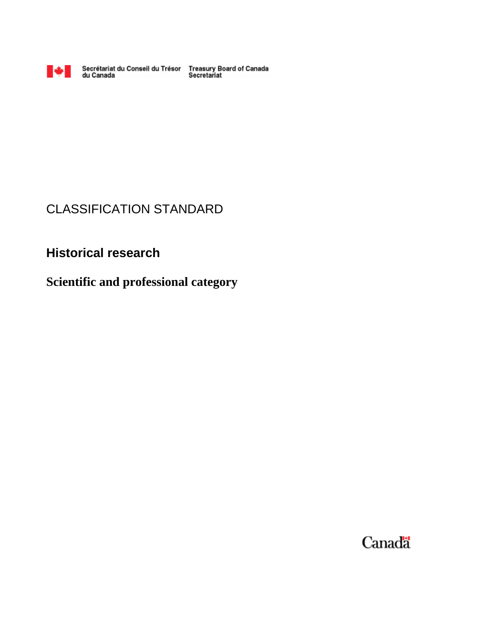

Secrétariat du Conseil du Trésor Treasury Board of Canada<br>du Canada Secretariat

# CLASSIFICATION STANDARD

# **Historical research**

# **Scientific and professional category**

Canadä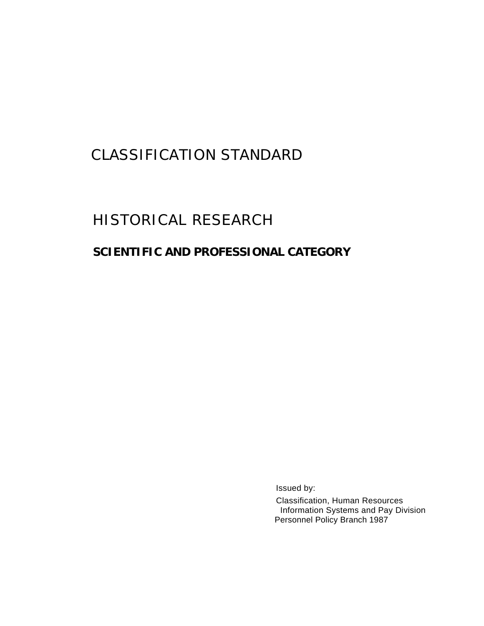# CLASSIFICATION STANDARD

# HISTORICAL RESEARCH

# **SCIENTIFIC AND PROFESSIONAL CATEGORY**

Issued by:

Classification, Human Resources Information Systems and Pay Division Personnel Policy Branch 1987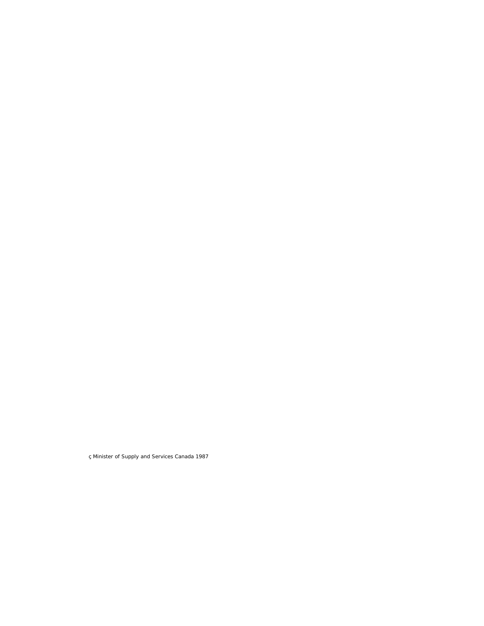ç Minister of Supply and Services Canada 1987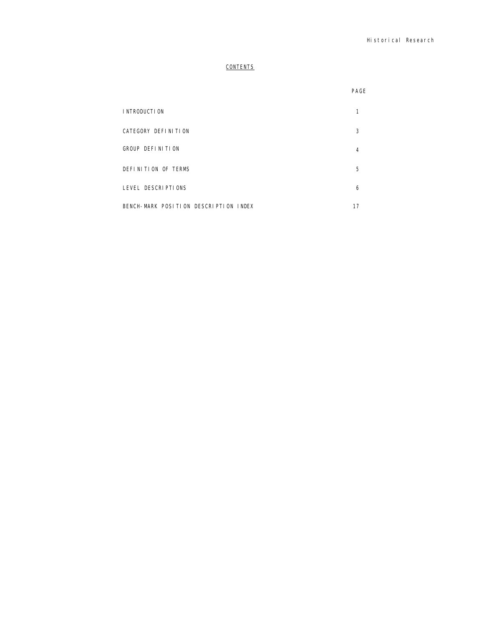# **CONTENTS**

|                                       | PAGE |
|---------------------------------------|------|
| I NTRODUCTI ON                        |      |
| CATEGORY DEFINITION                   | 3    |
| GROUP DEFINITION                      | 4    |
| DEFINITION OF TERMS                   | 5    |
| LEVEL DESCRIPTIONS                    | 6    |
| BENCH-MARK POSITION DESCRIPTION INDEX | 17   |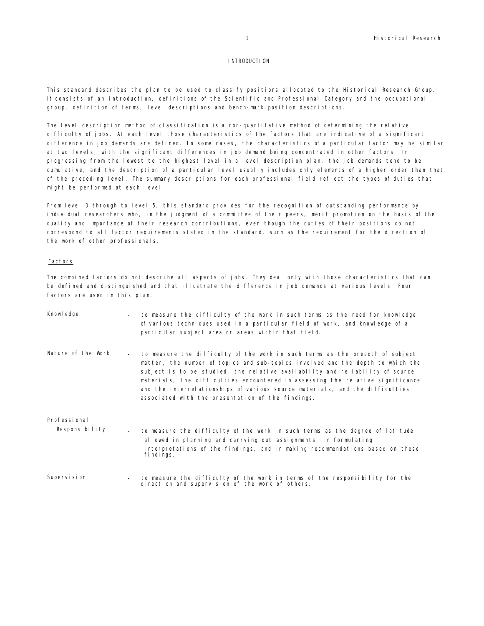# **INTRODUCTION**

This standard describes the plan to be used to classify positions allocated to the Historical Research Group. It consists of an introduction, definitions of the Scientific and Professional Category and the occupational group, definition of terms, level descriptions and bench-mark position descriptions.

The level description method of classification is a non-quantitative method of determining the relative difficulty of jobs. At each level those characteristics of the factors that are indicative of a significant difference in job demands are defined. In some cases, the characteristics of a particular factor may be similar at two levels, with the significant differences in job demand being concentrated in other factors. In progressing from the lowest to the highest level in a level description plan, the job demands tend to be cumulative, and the description of a particular level usually includes only elements of a higher order than that of the preceding level. The summary descriptions for each professional field reflect the types of duties that might be performed at each level.

From level 3 through to level 5, this standard provides for the recognition of outstanding performance by individual researchers who, in the judgment of a committee of their peers, merit promotion on the basis of the quality and importance of their research contributions, even though the duties of their positions do not correspond to all factor requirements stated in the standard, such as the requirement for the direction of the work of other professionals.

# Factors

The combined factors do not describe all aspects of jobs. They deal only with those characteristics that can be defined and distinguished and that illustrate the difference in job demands at various levels. Four factors are used in this plan.

| Knowl edge                                                  | to measure the difficulty of the work in such terms as the need for knowledge<br>of various techniques used in a particular field of work, and knowledge of a<br>particular subject area or areas within that field.                                                                                                                                                                                                                                                     |
|-------------------------------------------------------------|--------------------------------------------------------------------------------------------------------------------------------------------------------------------------------------------------------------------------------------------------------------------------------------------------------------------------------------------------------------------------------------------------------------------------------------------------------------------------|
| Nature of the Work<br>$\sim$                                | to measure the difficulty of the work in such terms as the breadth of subject<br>matter, the number of topics and sub-topics involved and the depth to which the<br>subject is to be studied, the relative availability and reliability of source<br>materials, the difficulties encountered in assessing the relative significance<br>and the interrelationships of various source materials, and the difficulties<br>associated with the presentation of the findings. |
| Professi onal<br>Responsibility<br>$\overline{\phantom{a}}$ | to measure the difficulty of the work in such terms as the degree of latitude<br>allowed in planning and carrying out assignments, in formulating<br>interpretations of the findings, and in making recommendations based on these                                                                                                                                                                                                                                       |
| Supervi si on                                               | fi ndi ngs.<br>to measure the difficulty of the work in terms of the responsibility for the<br>di rection and supervision of the work of others.                                                                                                                                                                                                                                                                                                                         |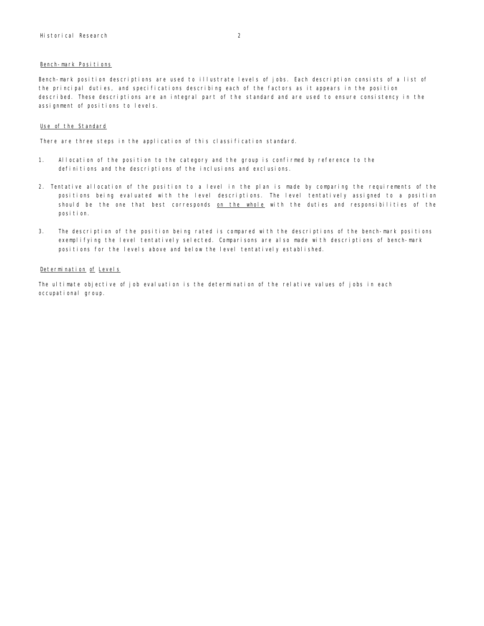# Bench-mark Positions

Bench-mark position descriptions are used to illustrate levels of jobs. Each description consists of a list of the principal duties, and specifications describing each of the factors as it appears in the position described. These descriptions are an integral part of the standard and are used to ensure consistency in the assignment of positions to levels.

# Use of the Standard

There are three steps in the application of this classification standard.

- 1. Allocation of the position to the category and the group is confirmed by reference to the definitions and the descriptions of the inclusions and exclusions.
- 2. Tentative allocation of the position to a level in the plan is made by comparing the requirements of the positions being evaluated with the level descriptions. The level tentatively assigned to a position should be the one that best corresponds on the whole with the duties and responsibilities of the posi ti on.
- 3. The description of the position being rated is compared with the descriptions of the bench-mark positions exemplifying the level tentatively selected. Comparisons are also made with descriptions of bench-mark positions for the levels above and below the level tentatively established.

# Determination of Levels

The ultimate objective of job evaluation is the determination of the relative values of jobs in each occupational group.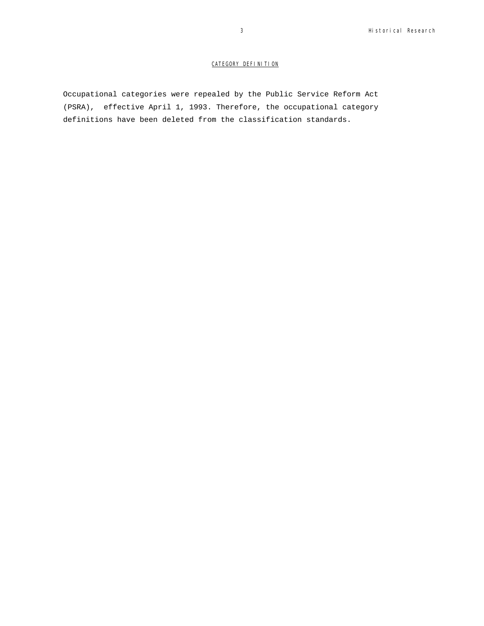# CATEGORY DEFINITION

Occupational categories were repealed by the Public Service Reform Act (PSRA), effective April 1, 1993. Therefore, the occupational category definitions have been deleted from the classification standards.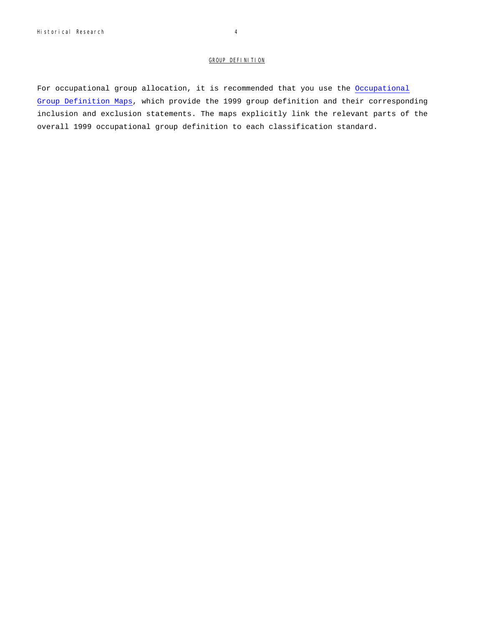# GROUP DEFINITION

For occupational group allocation, it is recommended that you use the Occupational Group Definition Maps, which provide the 1999 group definition and their corresponding inclusion and exclusion statements. The maps explicitly link the relevant parts of the overall 1999 occupational group definition to each classification standard.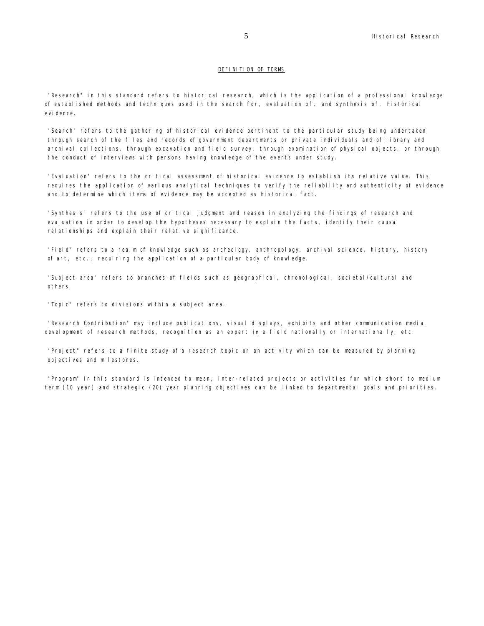# DEFINITION OF TERMS

"Research" in this standard refers to historical research, which is the application of a professional knowledge of established methods and techniques used in the search for, evaluation of, and synthesis of, historical evidence.

"Search" refers to the gathering of historical evidence pertinent to the particular study being undertaken, through search of the files and records of government departments or private individuals and of library and archival collections, through excavation and field survey, through examination of physical objects, or through the conduct of interviews with persons having knowledge of the events under study.

"Evaluation" refers to the critical assessment of historical evidence to establish its relative value. This requires the application of various analytical techniques to verify the reliability and authenticity of evidence and to determine which items of evidence may be accepted as historical fact.

"Synthesis" refers to the use of critical judgment and reason in analyzing the findings of research and evaluation in order to develop the hypotheses necessary to explain the facts, identify their causal relationships and explain their relative significance.

"Field" refers to a realm of knowledge such as archeology, anthropology, archival science, history, history of art, etc., requiring the application of a particular body of knowledge.

"Subject area" refers to branches of fields such as geographical, chronological, societal/cultural and others.

"Topic" refers to divisions within a subject area.

"Research Contribution" may include publications, visual displays, exhibits and other communication media, development of research methods, recognition as an expert in a field nationally or internationally, etc.

"Project" refers to a finite study of a research topic or an activity which can be measured by planning objectives and milestones.

"Program" in this standard is intended to mean, inter-related projects or activities for which short to medium term (10 year) and strategic (20) year planning objectives can be linked to departmental goals and priorities.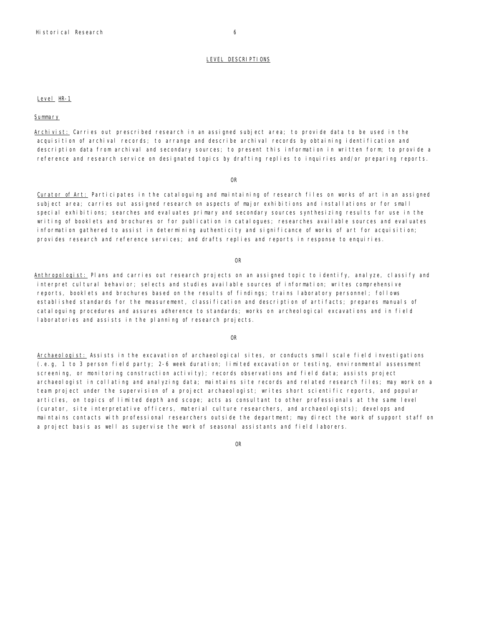LEVEL DESCRIPTIONS

# Level HR-1

Summary

Archivist: Carries out prescribed research in an assigned subject area; to provide data to be used in the acquisition of archival records; to arrange and describe archival records by obtaining identification and description data from archival and secondary sources; to present this information in written form; to provide a reference and research service on designated topics by drafting replies to inquiries and/or preparing reports.

#### OR

Curator of Art: Participates in the cataloguing and maintaining of research files on works of art in an assigned subject area; carries out assigned research on aspects of major exhibitions and installations or for small special exhibitions; searches and evaluates primary and secondary sources synthesizing results for use in the writing of booklets and brochures or for publication in catalogues; researches available sources and evaluates information gathered to assist in determining authenticity and significance of works of art for acquisition; provides research and reference services; and drafts replies and reports in response to enquiries.

#### OR

Anthropologist: Plans and carries out research projects on an assigned topic to identify, analyze, classify and interpret cultural behavior; selects and studies available sources of information; writes comprehensive reports, booklets and brochures based on the results of findings; trains laboratory personnel; follows established standards for the measurement, classification and description of artifacts; prepares manuals of cataloguing procedures and assures adherence to standards; works on archeological excavations and in field laboratories and assists in the planning of research projects.

#### OR

Archaeologist: Assists in the excavation of archaeological sites, or conducts small scale field investigations (.e.g, 1 to 3 person field party; 2-6 week duration; limited excavation or testing, environmental assessment screening, or monitoring construction activity); records observations and field data; assists project archaeologist in collating and analyzing data; maintains site records and related research files; may work on a team project under the supervision of a project archaeologist; writes short scientific reports, and popular articles, on topics of limited depth and scope; acts as consultant to other professionals at the same level (curator, site interpretative officers, material culture researchers, and archaeologists); develops and maintains contacts with professional researchers outside the department; may direct the work of support staff on a project basis as well as supervise the work of seasonal assistants and field laborers.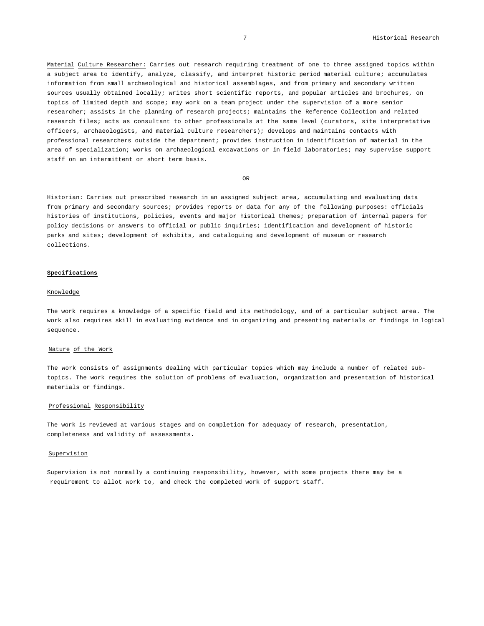Material Culture Researcher: Carries out research requiring treatment of one to three assigned topics within a subject area to identify, analyze, classify, and interpret historic period material culture; accumulates information from small archaeological and historical assemblages, and from primary and secondary written sources usually obtained locally; writes short scientific reports, and popular articles and brochures, on topics of limited depth and scope; may work on a team project under the supervision of a more senior researcher; assists in the planning of research projects; maintains the Reference Collection and related research files; acts as consultant to other professionals at the same level (curators, site interpretative officers, archaeologists, and material culture researchers); develops and maintains contacts with professional researchers outside the department; provides instruction in identification of material in the area of specialization; works on archaeological excavations or in field laboratories; may supervise support staff on an intermittent or short term basis.

OR

Historian: Carries out prescribed research in an assigned subject area, accumulating and evaluating data from primary and secondary sources; provides reports or data for any of the following purposes: officials histories of institutions, policies, events and major historical themes; preparation of internal papers for policy decisions or answers to official or public inquiries; identification and development of historic parks and sites; development of exhibits, and cataloguing and development of museum or research collections.

# **Specifications**

#### Knowledge

The work requires a knowledge of a specific field and its methodology, and of a particular subject area. The work also requires skill in evaluating evidence and in organizing and presenting materials or findings in logical sequence.

# Nature of the Work

The work consists of assignments dealing with particular topics which may include a number of related subtopics. The work requires the solution of problems of evaluation, organization and presentation of historical materials or findings.

### Professional Responsibility

The work is reviewed at various stages and on completion for adequacy of research, presentation, completeness and validity of assessments.

# Supervision

Supervision is not normally a continuing responsibility, however, with some projects there may be a requirement to allot work to, and check the completed work of support staff.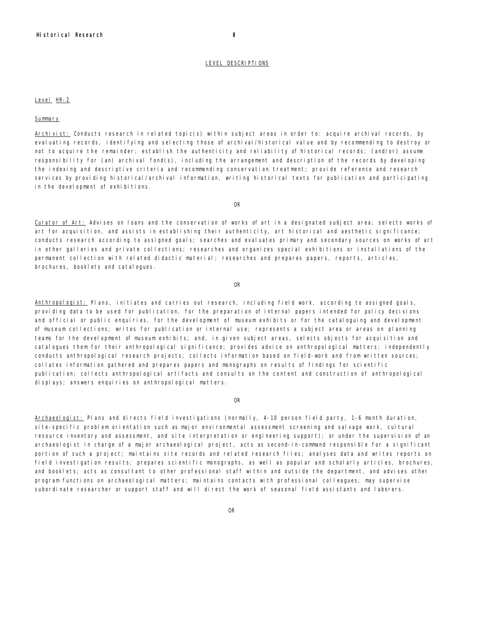#### LEVEL DESCRIPTIONS

# Level HR-2

# Summary

Archivist: Conducts research in related topic(s) within subject areas in order to: acquire archival records, by evaluating records, identifying and selecting those of archival/historical value and by recommending to destroy or not to acquire the remainder; establish the authenticity and reliability of historical records; (and/or) assume responsibility for (an) archival fond(s), including the arrangement and description of the records by developing the indexing and descriptive criteria and recommending conservation treatment; provide reference and research services by providing historical/archival information, writing historical texts for publication and participating in the development of exhibitions.

OR

Curator of Art: Advises on loans and the conservation of works of art in a designated subject area; selects works of art for acquisition, and assists in establishing their authenticity, art historical and aesthetic significance; conducts research according to assigned goals; searches and evaluates primary and secondary sources on works of art in other galleries and private collections; researches and organizes special exhibitions or installations of the permanent collection with related didactic material; researches and prepares papers, reports, articles, brochures, booklets and catalogues.

OR

Anthropologist: Plans, initiates and carries out research, including field work, according to assigned goals, providing data to be used for publication, for the preparation of internal papers intended for policy decisions and official or public enquiries, for the development of museum exhibits or for the cataloguing and development of museum collections; writes for publication or internal use; represents a subject area or areas on planning teams for the development of museum exhibits; and, in given subject areas, selects objects for acquisition and catalogues them for their anthropological significance; provides advice on anthropological matters; independently conducts anthropological research projects; collects information based on field-work and from written sources; collates information gathered and prepares papers and monographs on results of findings for scientific publication; collects anthropological artifacts and consults on the content and construction of anthropological displays; answers enquiries on anthropological matters.

# OR

Archaeologist: Plans and directs field investigations (normally, 4-10 person field party, 1-6 month duration, site-specific problem orientation such as major environmental assessment screening and salvage work, cultural resource inventory and assessment, and site interpretation or engineering support); or under the supervision of an archaeologist in charge of a major archaeological project, acts as second-in-command responsible for a significant portion of such a project; maintains site records and related research files; analyses data and writes reports on field investigation results; prepares scientific monographs, as well as popular and scholarly articles, brochures, and booklets; acts as consultant to other professional staff within and outside the department, and advises other program functions on archaeological matters; maintains contacts with professional colleagues; may supervise subordinate researcher or support staff and will direct the work of seasonal field assistants and laborers.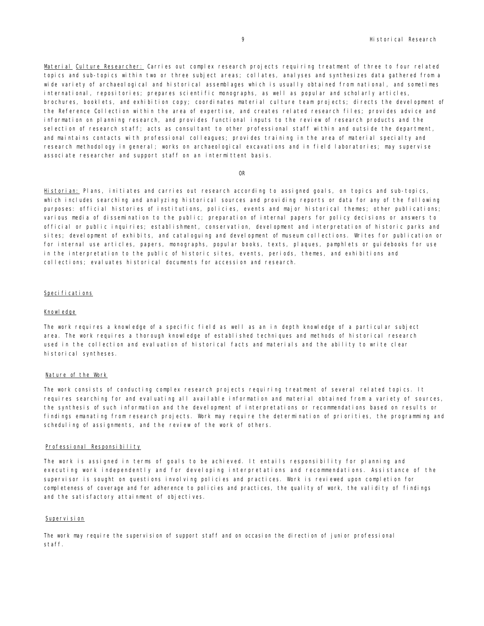Material Culture Researcher: Carries out complex research projects requiring treatment of three to four related topics and sub-topics within two or three subject areas; collates, analyses and synthesizes data gathered from a wide variety of archaeological and historical assemblages which is usually obtained from national, and sometimes international, repositories; prepares scientific monographs, as well as popular and scholarly articles, brochures, booklets, and exhibition copy; coordinates material culture team projects; directs the development of the Reference Collection within the area of expertise, and creates related research files; provides advice and information on planning research, and provides functional inputs to the review of research products and the selection of research staff; acts as consultant to other professional staff within and outside the department, and maintains contacts with professional colleagues; provides training in the area of material specialty and research methodology in general; works on archaeological excavations and in field laboratories; may supervise associate researcher and support staff on an intermittent basis.

OR

Historian: Plans, initiates and carries out research according to assigned goals, on topics and sub-topics, which includes searching and analyzing historical sources and providing reports or data for any of the following purposes: official histories of institutions, policies, events and major historical themes; other publications; various media of dissemination to the public; preparation of internal papers for policy decisions or answers to official or public inquiries; establishment, conservation, development and interpretation of historic parks and sites; development of exhibits, and cataloguing and development of museum collections. Writes for publication or for internal use articles, papers, monographs, popular books, texts, plaques, pamphlets or guidebooks for use in the interpretation to the public of historic sites, events, periods, themes, and exhibitions and collections; evaluates historical documents for accession and research.

#### Specifications

#### Knowledge

The work requires a knowledge of a specific field as well as an in depth knowledge of a particular subject area. The work requires a thorough knowledge of established techniques and methods of historical research used in the collection and evaluation of historical facts and materials and the ability to write clear historical syntheses.

#### Nature of the Work

The work consists of conducting complex research projects requiring treatment of several related topics. It requires searching for and evaluating all available information and material obtained from a variety of sources, the synthesis of such information and the development of interpretations or recommendations based on results or findings emanating from research projects. Work may require the determination of priorities, the programming and scheduling of assignments, and the review of the work of others.

#### Professional Responsibility

The work is assigned in terms of goals to be achieved. It entails responsibility for planning and executing work independently and for developing interpretations and recommendations. Assistance of the supervisor is sought on questions involving policies and practices. Work is reviewed upon completion for completeness of coverage and for adherence to policies and practices, the quality of work, the validity of findings and the satisfactory attainment of objectives.

#### Supervision

The work may require the supervision of support staff and on occasion the direction of junior professional staff.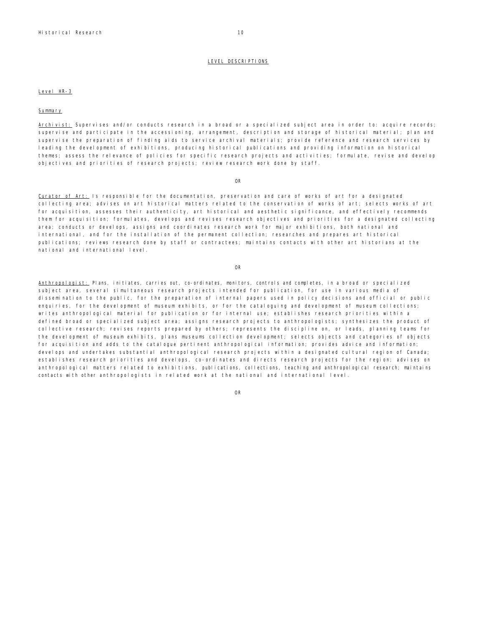# LEVEL DESCRIPTIONS

# Level HR-3

#### Summary

Archivist: Supervises and/or conducts research in a broad or a specialized subject area in order to: acquire records; supervise and participate in the accessioning, arrangement, description and storage of historical material; plan and supervise the preparation of finding aids to service archival materials; provide reference and research services by leading the development of exhibitions, producing historical publications and providing information on historical themes; assess the relevance of policies for specific research projects and activities; formulate, revise and develop objectives and priorities of research projects; review research work done by staff.

OR

Curator of Art: Is responsible for the documentation, preservation and care of works of art for a designated collecting area; advises on art historical matters related to the conservation of works of art; selects works of art for acquisition, assesses their authenticity, art historical and aesthetic significance, and effectively recommends them for acquisition; formulates, develops and revises research objectives and priorities for a designated collecting area; conducts or develops, assigns and coordinates research work for major exhibitions, both national and international, and for the installation of the permanent collection; researches and prepares art historical publications; reviews research done by staff or contractees; maintains contacts with other art historians at the national and international level.

OR

Anthropologist: Plans, initiates, carries out, co-ordinates, monitors, controls and completes, in a broad or specialized subject area, several simultaneous research projects intended for publication, for use in various media of dissemination to the public, for the preparation of internal papers used in policy decisions and official or public enquiries, for the development of museum exhibits, or for the cataloguing and development of museum collections; writes anthropological material for publication or for internal use; establishes research priorities within a defined broad or specialized subject area; assigns research projects to anthropologists; synthesizes the product of collective research; revises reports prepared by others; represents the discipline on, or leads, planning teams for the development of museum exhibits, plans museums collection development; selects objects and categories of objects for acquisition and adds to the catalogue pertinent anthropological information; provides advice and information; develops and undertakes substantial anthropological research projects within a designated cultural region of Canada; establishes research priorities and develops, co-ordinates and directs research projects for the region; advises on anthropological matters related to exhibitions, publications, collections, teaching and anthropological research; maintains contacts with other anthropologists in related work at the national and international level.

OR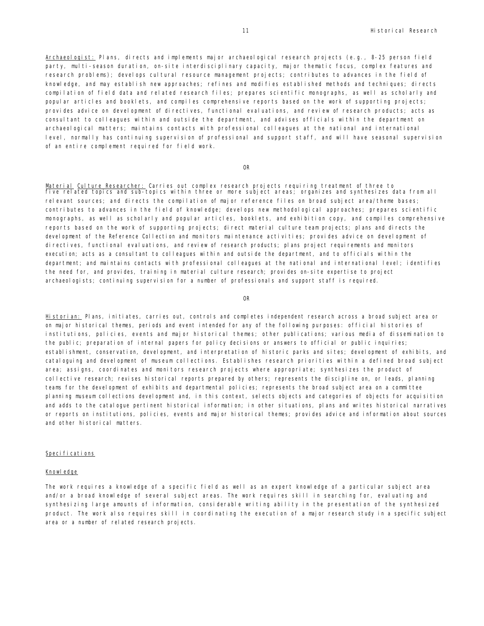Archaeologist: Plans, directs and implements major archaeological research projects (e.g., 8-25 person field party, multi-season duration, on-site interdisciplinary capacity, major thematic focus, complex features and research problems); develops cultural resource management projects; contributes to advances in the field of knowledge, and may establish new approaches; refines and modifies established methods and techniques; directs compilation of field data and related research files; prepares scientific monographs, as well as scholarly and popular articles and booklets, and compiles comprehensive reports based on the work of supporting projects; provides advice on development of directives, functional evaluations, and review of research products; acts as consultant to colleagues within and outside the department, and advises officials within the department on archaeological matters; maintains contacts with professional colleagues at the national and international level, normally has continuing supervision of professional and support staff, and will have seasonal supervision of an entire complement required for field work.

OR

Material Culture Researcher: Carries out complex research projects requiring treatment of three to five related topics and sub-topics within three or more subject areas; organizes and synthesizes data from all relevant sources; and directs the compilation of major reference files on broad subject area/theme bases; contributes to advances in the field of knowledge; develops new methodological approaches; prepares scientific monographs, as well as scholarly and popular articles, booklets, and exhibition copy, and compiles comprehensive reports based on the work of supporting projects; direct material culture team projects; plans and directs the development of the Reference Collection and monitors maintenance activities; provides advice on development of directives, functional evaluations, and review of research products; plans project requirements and monitors execution; acts as a consultant to colleagues within and outside the department, and to officials within the department; and maintains contacts with professional colleagues at the national and international level; identifies the need for, and provides, training in material culture research; provides on-site expertise to project archaeologists; continuing supervision for a number of professionals and support staff is required.

OR

Historian: Plans, initiates, carries out, controls and completes independent research across a broad subject area or on major historical themes, periods and event intended for any of the following purposes: official histories of institutions, policies, events and major historical themes; other publications; various media of dissemination to the public; preparation of internal papers for policy decisions or answers to official or public inquiries; establishment, conservation, development, and interpretation of historic parks and sites; development of exhibits, and cataloguing and development of museum collections. Establishes research priorities within a defined broad subject area; assigns, coordinates and monitors research projects where appropriate; synthesizes the product of collective research; revises historical reports prepared by others; represents the discipline on, or leads, planning teams for the development of exhibits and departmental policies; represents the broad subject area on a committee planning museum collections development and, in this context, selects objects and categories of objects for acquisition and adds to the catalogue pertinent historical information; in other situations, plans and writes historical narratives or reports on institutions, policies, events and major historical themes; provides advice and information about sources and other historical matters.

#### Specifications

#### Knowledge

The work requires a knowledge of a specific field as well as an expert knowledge of a particular subject area and/or a broad knowledge of several subject areas. The work requires skill in searching for, evaluating and synthesizing large amounts of information, considerable writing ability in the presentation of the synthesized product. The work also requires skill in coordinating the execution of a major research study in a specific subject area or a number of related research projects.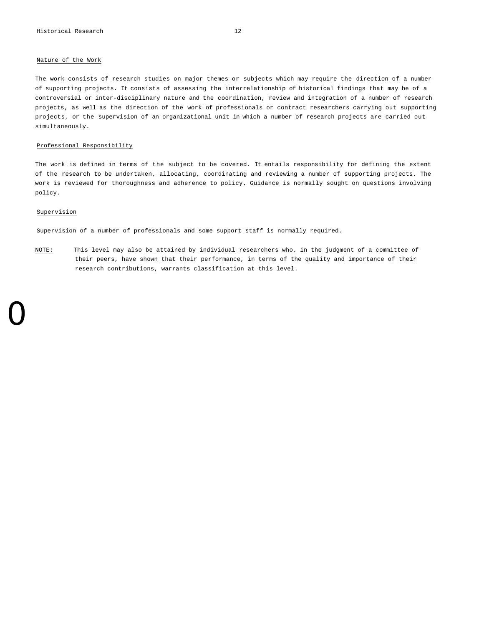# Nature of the Work

The work consists of research studies on major themes or subjects which may require the direction of a number of supporting projects. It consists of assessing the interrelationship of historical findings that may be of a controversial or inter-disciplinary nature and the coordination, review and integration of a number of research projects, as well as the direction of the work of professionals or contract researchers carrying out supporting projects, or the supervision of an organizational unit in which a number of research projects are carried out simultaneously.

#### Professional Responsibility

The work is defined in terms of the subject to be covered. It entails responsibility for defining the extent of the research to be undertaken, allocating, coordinating and reviewing a number of supporting projects. The work is reviewed for thoroughness and adherence to policy. Guidance is normally sought on questions involving policy.

# Supervision

0

Supervision of a number of professionals and some support staff is normally required.

NOTE: This level may also be attained by individual researchers who, in the judgment of a committee of their peers, have shown that their performance, in terms of the quality and importance of their research contributions, warrants classification at this level.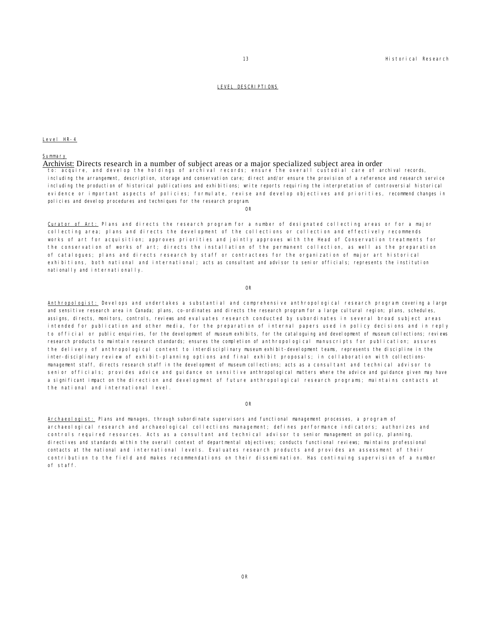#### LEVEL DESCRIPTIONS

#### Level HR-4

### Summary

Archivist: Directs research in a number of subject areas or a major specialized subject area in order

to: acquire, and develop the holdings of archival records; ensure the overall custodial care of archival records, including the arrangement, description, storage and conservation care; direct and/or ensure the provision of a reference and research service including the production of historical publications and exhibitions; write reports requiring the interpretation of controversial historical evidence or important aspects of policies; formulate, revise and develop objectives and priorities, recommend changes in policies and develop procedures and techniques for the research program.

OR

Curator of Art: Plans and directs the research program for a number of designated collecting areas or for a major collecting area; plans and directs the development of the collections or collection and effectively recommends works of art for acquisition; approves priorities and jointly approves with the Head of Conservation treatments for the conservation of works of art; directs the installation of the permanent collection, as well as the preparation of catalogues; plans and directs research by staff or contractees for the organization of major art historical exhibitions, both national and international; acts as consultant and advisor to senior officials; represents the institution nationally and internationally.

OR

Anthropologist: Develops and undertakes a substantial and comprehensive anthropological research program covering a large and sensitive research area in Canada; plans, co-ordinates and directs the research program for a large cultural region; plans, schedules, assigns, directs, monitors, controls, reviews and evaluates research conducted by subordinates in several broad subject areas intended for publication and other media, for the preparation of internal papers used in policy decisions and in reply to official or public enquiries, for the development of museum exhibits, for the cataloguing and development of museum collections; reviews research products to maintain research standards; ensures the completion of anthropological manuscripts for publication; assures the delivery of anthropological content to interdisciplinary museum exhibit-development teams, represents the discipline in the inter-disciplinary review of exhibit-planning options and final exhibit proposals; in collaboration with collectionsmanagement staff, directs research staff in the development of museum collections; acts as a consultant and technical advisor to senior officials; provides advice and guidance on sensitive anthropological matters where the advice and guidance given may have a significant impact on the direction and development of future anthropological research programs; maintains contacts at the national and international level.

#### OR

Archaeologist: Plans and manages, through subordinate supervisors and functional management processes, a program of archaeological research and archaeological collections management; defines performance indicators; authorizes and controls required resources. Acts as a consultant and technical advisor to senior management on policy, planning, directives and standards within the overall context of departmental objectives; conducts functional reviews; maintains professional contacts at the national and international levels. Evaluates research products and provides an assessment of their contribution to the field and makes recommendations on their dissemination. Has continuing supervision of a number of staff.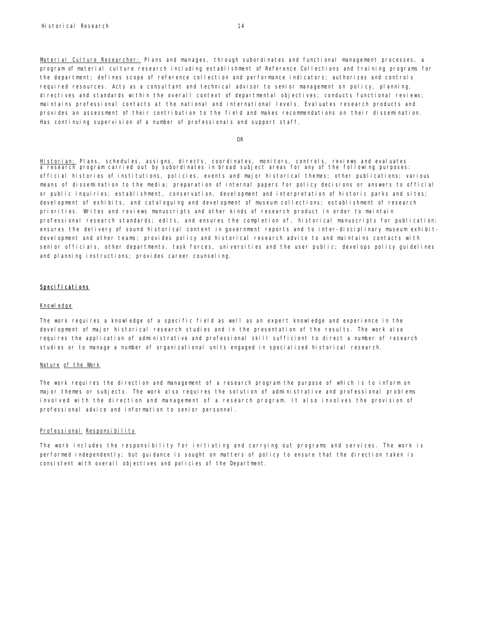Material Culture Researcher: Plans and manages, through subordinates and functional management processes, a program of material culture research including establishment of Reference Collections and training programs for the department; defines scope of reference collection and performance indicators; authorizes and controls required resources. Acts as a consultant and technical advisor to senior management on policy, planning, directives and standards within the overall context of departmental objectives; conducts functional reviews; maintains professional contacts at the national and international levels. Evaluates research products and provides an assessment of their contribution to the field and makes recommendations on their dissemination. Has continuing supervision of a number of professionals and support staff.

OR

Historian: Plans, schedules, assigns, directs, coordinates, monitors, controls, reviews and evaluates a research program carried out by subordinates in broad subject areas for any of the following purposes: official histories of institutions, policies, events and major historical themes; other publications; various means of dissemination to the media; preparation of internal papers for policy decisions or answers to official or public inquiries; establishment, conservation, development and interpretation of historic parks and sites; development of exhibits, and cataloquing and development of museum collections; establishment of research priorities. Writes and reviews manuscripts and other kinds of research product in order to maintain professional research standards; edits, and ensures the completion of, historical manuscripts for publication; ensures the delivery of sound historical content in government reports and to inter-disciplinary museum exhibitdevelopment and other teams; provides policy and historical research advice to and maintains contacts with senior officials, other departments, task forces, universities and the user public; develops policy guidelines and planning instructions; provides career counseling.

# Specifications

#### Knowledge

The work requires a knowledge of a specific field as well as an expert knowledge and experience in the development of major historical research studies and in the presentation of the results. The work also requires the application of administrative and professional skill sufficient to direct a number of research studies or to manage a number of organizational units engaged in specialized historical research.

# Nature of the Work

The work requires the direction and management of a research program the purpose of which is to inform on major themes or subjects. The work also requires the solution of administrative and professional problems involved with the direction and management of a research program. It also involves the provision of professional advice and information to senior personnel.

# Professional Responsibility

The work includes the responsibility for initiating and carrying out programs and services. The work is performed independently; but guidance is sought on matters of policy to ensure that the direction taken is consistent with overall objectives and policies of the Department.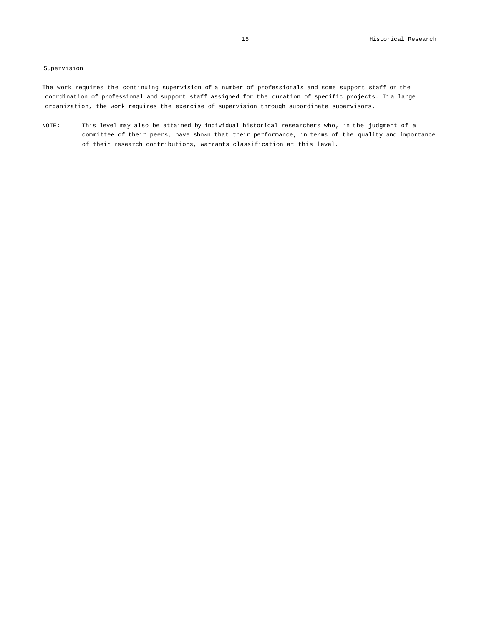# Supervision

The work requires the continuing supervision of a number of professionals and some support staff or the coordination of professional and support staff assigned for the duration of specific projects. In a large organization, the work requires the exercise of supervision through subordinate supervisors.

NOTE: This level may also be attained by individual historical researchers who, in the judgment of a committee of their peers, have shown that their performance, in terms of the quality and importance of their research contributions, warrants classification at this level.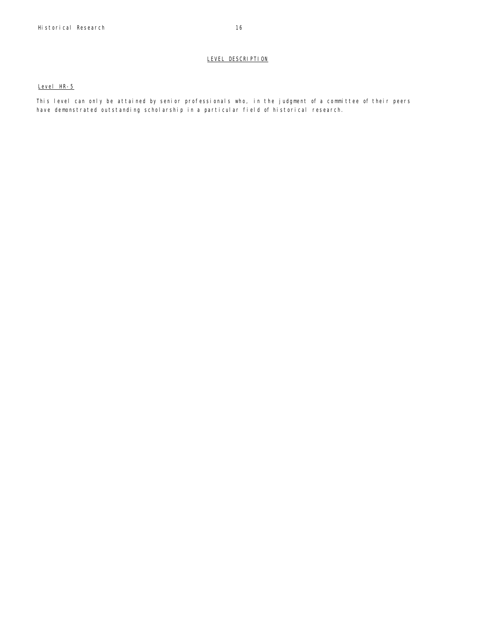# LEVEL DESCRIPTION

# Level HR-5

This level can only be attained by senior professionals who, in the judgment of a committee of their peers have demonstrated outstanding scholarship in a particular field of historical research.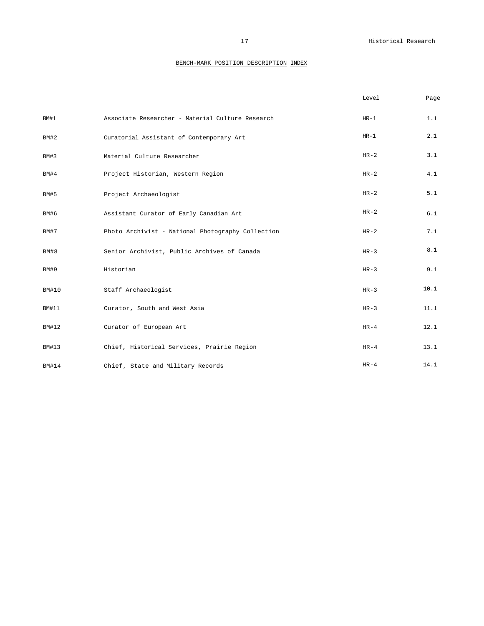|              |                                                   | Level  | Page |
|--------------|---------------------------------------------------|--------|------|
| BM#1         | Associate Researcher - Material Culture Research  | $HR-1$ | 1.1  |
| BM#2         | Curatorial Assistant of Contemporary Art          | $HR-1$ | 2.1  |
| BM#3         | Material Culture Researcher                       | $HR-2$ | 3.1  |
| BM#4         | Project Historian, Western Region                 | $HR-2$ | 4.1  |
| <b>BM#5</b>  | Project Archaeologist                             | $HR-2$ | 5.1  |
| BM#6         | Assistant Curator of Early Canadian Art           | $HR-2$ | 6.1  |
| <b>BM#7</b>  | Photo Archivist - National Photography Collection | $HR-2$ | 7.1  |
| BM#8         | Senior Archivist, Public Archives of Canada       | $HR-3$ | 8.1  |
| <b>BM#9</b>  | Historian                                         | $HR-3$ | 9.1  |
| <b>BM#10</b> | Staff Archaeologist                               | $HR-3$ | 10.1 |
| <b>BM#11</b> | Curator, South and West Asia                      | $HR-3$ | 11.1 |
| <b>BM#12</b> | Curator of European Art                           | $HR-4$ | 12.1 |
| BM#13        | Chief, Historical Services, Prairie Region        | $HR-4$ | 13.1 |
| <b>BM#14</b> | Chief, State and Military Records                 | $HR-4$ | 14.1 |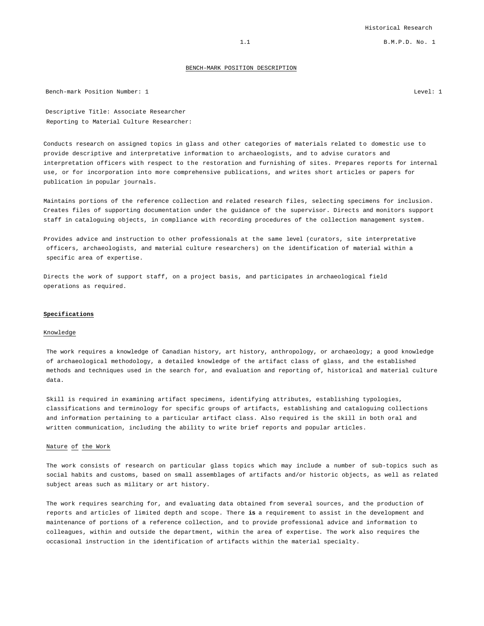Bench-mark Position Number: 1 Level: 1

Descriptive Title: Associate Researcher Reporting to Material Culture Researcher:

Conducts research on assigned topics in glass and other categories of materials related to domestic use to provide descriptive and interpretative information to archaeologists, and to advise curators and interpretation officers with respect to the restoration and furnishing of sites. Prepares reports for internal use, or for incorporation into more comprehensive publications, and writes short articles or papers for publication in popular journals.

Maintains portions of the reference collection and related research files, selecting specimens for inclusion. Creates files of supporting documentation under the guidance of the supervisor. Directs and monitors support staff in cataloguing objects, in compliance with recording procedures of the collection management system.

Provides advice and instruction to other professionals at the same level (curators, site interpretative officers, archaeologists, and material culture researchers) on the identification of material within a specific area of expertise.

Directs the work of support staff, on a project basis, and participates in archaeological field operations as required.

#### **Specifications**

#### Knowledge

The work requires a knowledge of Canadian history, art history, anthropology, or archaeology; a good knowledge of archaeological methodology, a detailed knowledge of the artifact class of glass, and the established methods and techniques used in the search for, and evaluation and reporting of, historical and material culture data.

Skill is required in examining artifact specimens, identifying attributes, establishing typologies, classifications and terminology for specific groups of artifacts, establishing and cataloguing collections and information pertaining to a particular artifact class. Also required is the skill in both oral and written communication, including the ability to write brief reports and popular articles.

# Nature of the Work

The work consists of research on particular glass topics which may include a number of sub-topics such as social habits and customs, based on small assemblages of artifacts and/or historic objects, as well as related subject areas such as military or art history.

The work requires searching for, and evaluating data obtained from several sources, and the production of reports and articles of limited depth and scope. There **is** a requirement to assist in the development and maintenance of portions of a reference collection, and to provide professional advice and information to colleagues, within and outside the department, within the area of expertise. The work also requires the occasional instruction in the identification of artifacts within the material specialty.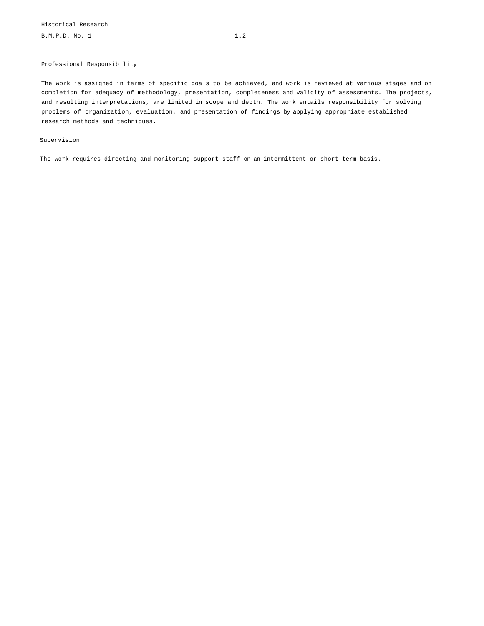# Professional Responsibility

The work is assigned in terms of specific goals to be achieved, and work is reviewed at various stages and on completion for adequacy of methodology, presentation, completeness and validity of assessments. The projects, and resulting interpretations, are limited in scope and depth. The work entails responsibility for solving problems of organization, evaluation, and presentation of findings by applying appropriate established research methods and techniques.

# Supervision

The work requires directing and monitoring support staff on an intermittent or short term basis.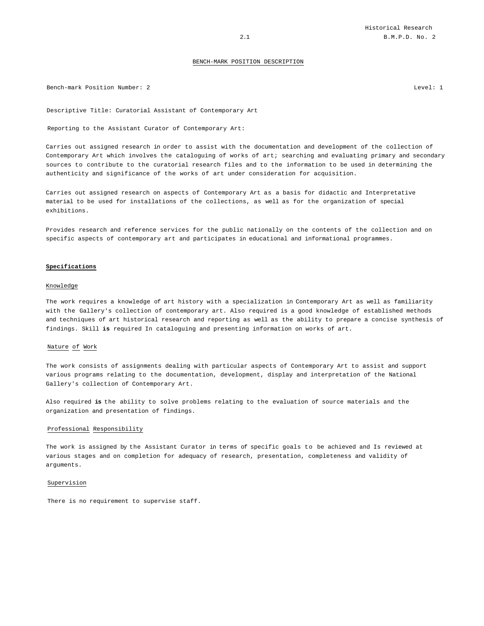Bench-mark Position Number: 2 Level: 1

Descriptive Title: Curatorial Assistant of Contemporary Art

Reporting to the Assistant Curator of Contemporary Art:

Carries out assigned research in order to assist with the documentation and development of the collection of Contemporary Art which involves the cataloguing of works of art; searching and evaluating primary and secondary sources to contribute to the curatorial research files and to the information to be used in determining the authenticity and significance of the works of art under consideration for acquisition.

Carries out assigned research on aspects of Contemporary Art as a basis for didactic and Interpretative material to be used for installations of the collections, as well as for the organization of special exhibitions.

Provides research and reference services for the public nationally on the contents of the collection and on specific aspects of contemporary art and participates in educational and informational programmes.

#### **Specifications**

# Knowledge

The work requires a knowledge of art history with a specialization in Contemporary Art as well as familiarity with the Gallery's collection of contemporary art. Also required is a good knowledge of established methods and techniques of art historical research and reporting as well as the ability to prepare a concise synthesis of findings. Skill **is** required In cataloguing and presenting information on works of art.

### Nature of Work

The work consists of assignments dealing with particular aspects of Contemporary Art to assist and support various programs relating to the documentation, development, display and interpretation of the National Gallery's collection of Contemporary Art.

Also required **is** the ability to solve problems relating to the evaluation of source materials and the organization and presentation of findings.

# Professional Responsibility

The work is assigned by the Assistant Curator in terms of specific goals to be achieved and Is reviewed at various stages and on completion for adequacy of research, presentation, completeness and validity of arguments.

# Supervision

There is no requirement to supervise staff.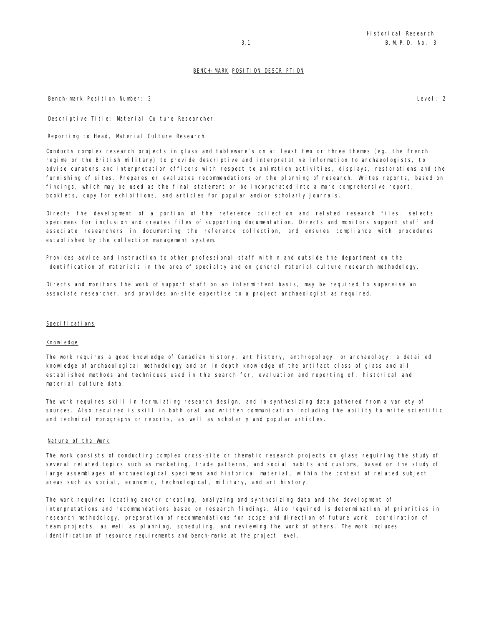Bench-mark Position Number: 3 Level: 2

Descriptive Title: Material Culture Researcher

Reporting to Head, Material Culture Research:

Conducts complex research projects in glass and tableware's on at least two or three themes (eg. the French regime or the British military) to provide descriptive and interpretative information to archaeologists, to advise curators and interpretation officers with respect to animation activities, displays, restorations and the furnishing of sites. Prepares or evaluates recommendations on the planning of research. Writes reports, based on findings, which may be used as the final statement or be incorporated into a more comprehensive report, booklets, copy for exhibitions, and articles for popular and/or scholarly journals.

Directs the development of a portion of the reference collection and related research files, selects specimens for inclusion and creates files of supporting documentation. Directs and monitors support staff and associate researchers in documenting the reference collection, and ensures compliance with procedures established by the collection management system.

Provides advice and instruction to other professional staff within and outside the department on the identification of materials in the area of specialty and on general material culture research methodology.

Directs and monitors the work of support staff on an intermittent basis, may be required to supervise an associate researcher, and provides on-site expertise to a project archaeologist as required.

#### Specifications

#### Knowledge

The work requires a good knowledge of Canadian history, art history, anthropology, or archaeology; a detailed knowledge of archaeological methodology and an in depth knowledge of the artifact class of glass and all established methods and techniques used in the search for, evaluation and reporting of, historical and material culture data.

The work requires skill in formulating research design, and in synthesizing data gathered from a variety of sources. Also required is skill in both oral and written communication including the ability to write scientific and technical monographs or reports, as well as scholarly and popular articles.

# Nature of the Work

The work consists of conducting complex cross-site or thematic research projects on glass requiring the study of several related topics such as marketing, trade patterns, and social habits and customs, based on the study of large assemblages of archaeological specimens and historical material, within the context of related subject areas such as social, economic, technological, military, and art history.

The work requires locating and/or creating, analyzing and synthesizing data and the development of interpretations and recommendations based on research findings. Also required is determination of priorities in research methodology, preparation of recommendations for scope and direction of future work, coordination of team projects, as well as planning, scheduling, and reviewing the work of others. The work includes identification of resource requirements and bench-marks at the project level.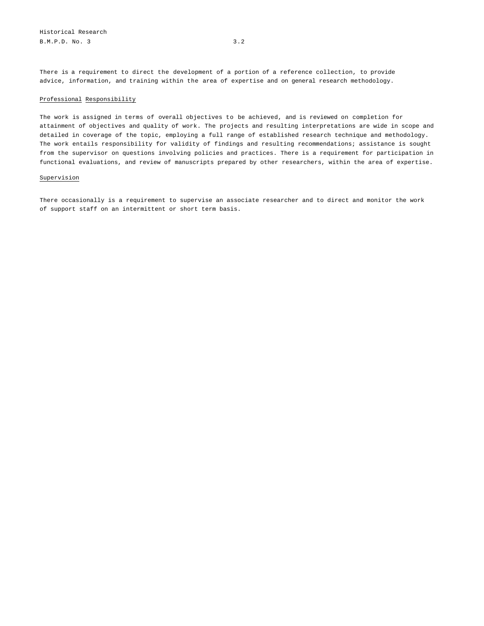There is a requirement to direct the development of a portion of a reference collection, to provide advice, information, and training within the area of expertise and on general research methodology.

# Professional Responsibility

The work is assigned in terms of overall objectives to be achieved, and is reviewed on completion for attainment of objectives and quality of work. The projects and resulting interpretations are wide in scope and detailed in coverage of the topic, employing a full range of established research technique and methodology. The work entails responsibility for validity of findings and resulting recommendations; assistance is sought from the supervisor on questions involving policies and practices. There is a requirement for participation in functional evaluations, and review of manuscripts prepared by other researchers, within the area of expertise.

# Supervision

There occasionally is a requirement to supervise an associate researcher and to direct and monitor the work of support staff on an intermittent or short term basis.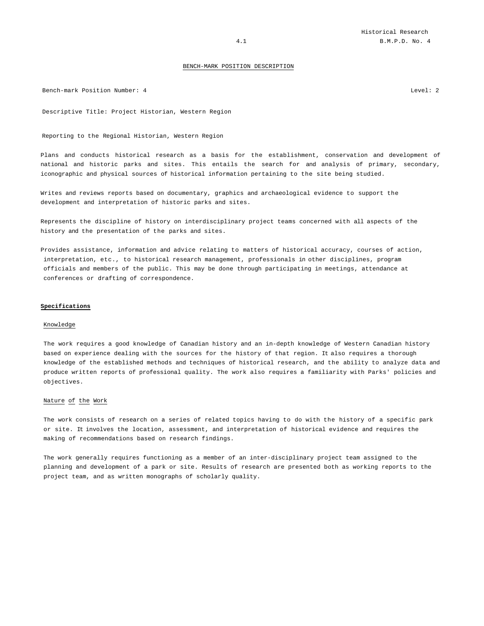Bench-mark Position Number: 4 Level: 2

Descriptive Title: Project Historian, Western Region

Reporting to the Regional Historian, Western Region

Plans and conducts historical research as a basis for the establishment, conservation and development of national and historic parks and sites. This entails the search for and analysis of primary, secondary, iconographic and physical sources of historical information pertaining to the site being studied.

Writes and reviews reports based on documentary, graphics and archaeological evidence to support the development and interpretation of historic parks and sites.

Represents the discipline of history on interdisciplinary project teams concerned with all aspects of the history and the presentation of the parks and sites.

Provides assistance, information and advice relating to matters of historical accuracy, courses of action, interpretation, etc., to historical research management, professionals in other disciplines, program officials and members of the public. This may be done through participating in meetings, attendance at conferences or drafting of correspondence.

#### **Specifications**

# Knowledge

The work requires a good knowledge of Canadian history and an in-depth knowledge of Western Canadian history based on experience dealing with the sources for the history of that region. It also requires a thorough knowledge of the established methods and techniques of historical research, and the ability to analyze data and produce written reports of professional quality. The work also requires a familiarity with Parks' policies and objectives.

# Nature of the Work

The work consists of research on a series of related topics having to do with the history of a specific park or site. It involves the location, assessment, and interpretation of historical evidence and requires the making of recommendations based on research findings.

The work generally requires functioning as a member of an inter-disciplinary project team assigned to the planning and development of a park or site. Results of research are presented both as working reports to the project team, and as written monographs of scholarly quality.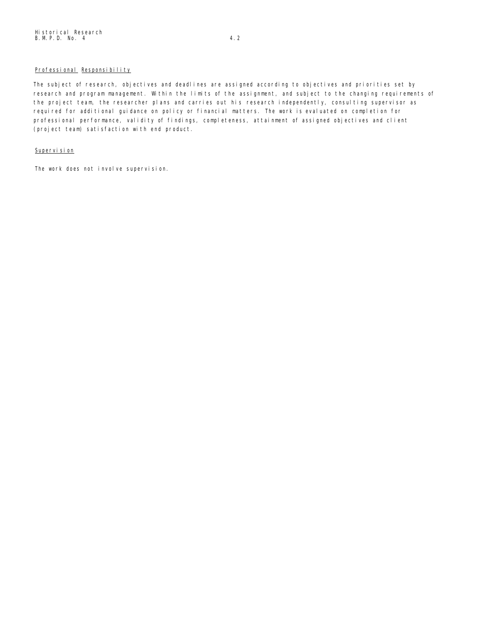# Professional Responsibility

The subject of research, objectives and deadlines are assigned according to objectives and priorities set by research and program management. Within the limits of the assignment, and subject to the changing requirements of the project team, the researcher plans and carries out his research independently, consulting supervisor as required for additional guidance on policy or financial matters. The work is evaluated on completion for professional performance, validity of findings, completeness, attainment of assigned objectives and client (project team) satisfaction with end product.

# Supervision

The work does not involve supervision.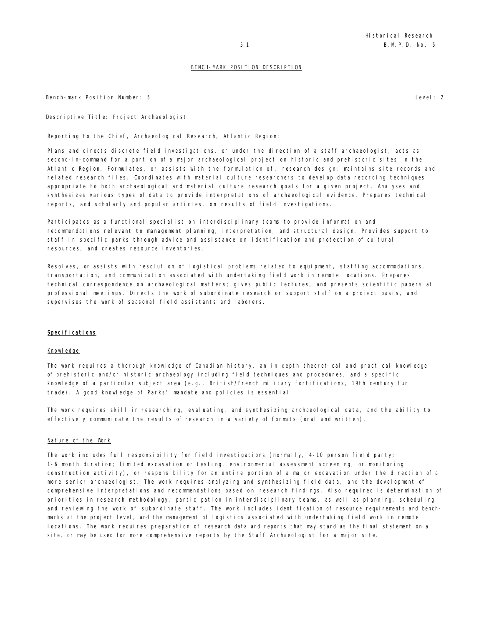Bench-mark Position Number: 5 Level: 2

Descriptive Title: Project Archaeologist

Reporting to the Chief, Archaeological Research, Atlantic Region:

Plans and directs discrete field investigations, or under the direction of a staff archaeologist, acts as second-in-command for a portion of a major archaeological project on historic and prehistoric sites in the Atlantic Region. Formulates, or assists with the formulation of, research design; maintains site records and related research files. Coordinates with material culture researchers to develop data recording techniques appropriate to both archaeological and material culture research goals for a given project. Analyses and synthesizes various types of data to provide interpretations of archaeological evidence. Prepares technical reports, and scholarly and popular articles, on results of field investigations.

Participates as a functional specialist on interdisciplinary teams to provide information and recommendations relevant to management planning, interpretation, and structural design. Provides support to staff in specific parks through advice and assistance on identification and protection of cultural resources, and creates resource inventories.

Resolves, or assists with resolution of logistical problems related to equipment, staffing accommodations, transportation, and communication associated with undertaking field work in remote locations. Prepares technical correspondence on archaeological matters; gives public lectures, and presents scientific papers at professional meetings. Directs the work of subordinate research or support staff on a project basis, and supervises the work of seasonal field assistants and laborers.

# Specifications

# Knowledge

The work requires a thorough knowledge of Canadian history, an in depth theoretical and practical knowledge of prehistoric and/or historic archaeology including field techniques and procedures, and a specific knowledge of a particular subject area (e.g., British/French military fortifications, 19th century fur trade). A good knowledge of Parks' mandate and policies is essential.

The work requires skill in researching, evaluating, and synthesizing archaeological data, and the ability to effectively communicate the results of research in a variety of formats (oral and written).

# Nature of the Work

The work includes full responsibility for field investigations (normally, 4-10 person field party; 1-6 month duration; limited excavation or testing, environmental assessment screening, or monitoring construction activity), or responsibility for an entire portion of a major excavation under the direction of a more senior archaeologist. The work requires analyzing and synthesizing field data, and the development of comprehensive interpretations and recommendations based on research findings. Also required is determination of priorities in research methodology, participation in interdisciplinary teams, as well as planning, scheduling and reviewing the work of subordinate staff. The work includes identification of resource requirements and benchmarks at the project level, and the management of logistics associated with undertaking field work in remote locations. The work requires preparation of research data and reports that may stand as the final statement on a site, or may be used for more comprehensive reports by the Staff Archaeologist for a major site.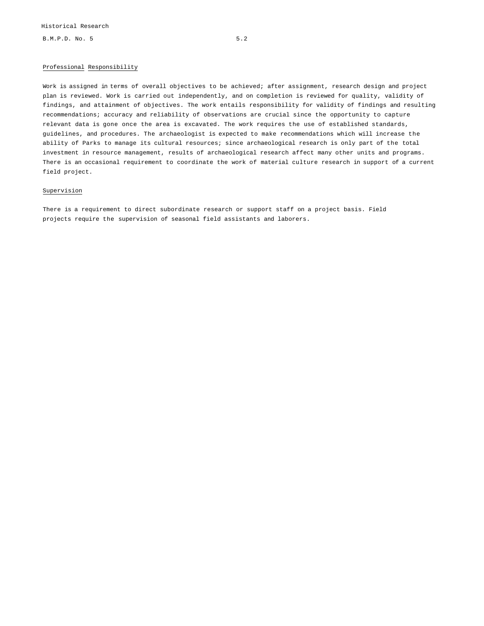B.M.P.D. No. 5 5.2

# Professional Responsibility

Work is assigned in terms of overall objectives to be achieved; after assignment, research design and project plan is reviewed. Work is carried out independently, and on completion is reviewed for quality, validity of findings, and attainment of objectives. The work entails responsibility for validity of findings and resulting recommendations; accuracy and reliability of observations are crucial since the opportunity to capture relevant data is gone once the area is excavated. The work requires the use of established standards, guidelines, and procedures. The archaeologist is expected to make recommendations which will increase the ability of Parks to manage its cultural resources; since archaeological research is only part of the total investment in resource management, results of archaeological research affect many other units and programs. There is an occasional requirement to coordinate the work of material culture research in support of a current field project.

# Supervision

There is a requirement to direct subordinate research or support staff on a project basis. Field projects require the supervision of seasonal field assistants and laborers.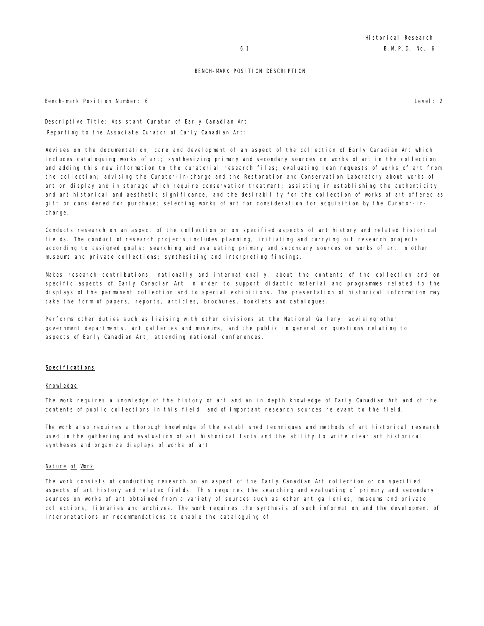Bench-mark Position Number: 6 Level: 2

Descriptive Title: Assistant Curator of Early Canadian Art Reporting to the Associate Curator of Early Canadian Art:

Advises on the documentation, care and development of an aspect of the collection of Early Canadian Art which includes cataloguing works of art; synthesizing primary and secondary sources on works of art in the collection and adding this new information to the curatorial research files; evaluating loan requests of works of art from the collection; advising the Curator-in-charge and the Restoration and Conservation Laboratory about works of art on display and in storage which require conservation treatment; assisting in establishing the authenticity and art historical and aesthetic significance, and the desirability for the collection of works of art offered as gift or considered for purchase; selecting works of art for consideration for acquisition by the Curator-incharge.

Conducts research on an aspect of the collection or on specified aspects of art history and related historical fields. The conduct of research projects includes planning, initiating and carrying out research projects according to assigned goals; searching and evaluating primary and secondary sources on works of art in other museums and private collections; synthesizing and interpreting findings.

Makes research contributions, nationally and internationally, about the contents of the collection and on specific aspects of Early Canadian Art in order to support didactic material and programmes related to the displays of the permanent collection and to special exhibitions. The presentation of historical information may take the form of papers, reports, articles, brochures, booklets and catalogues.

Performs other duties such as liaising with other divisions at the National Gallery; advising other government departments, art galleries and museums, and the public in general on questions relating to aspects of Early Canadian Art; attending national conferences.

# Specifications

# Knowledge

The work requires a knowledge of the history of art and an in depth knowledge of Early Canadian Art and of the contents of public collections in this field, and of important research sources relevant to the field.

The work also requires a thorough knowledge of the established techniques and methods of art historical research used in the gathering and evaluation of art historical facts and the ability to write clear art historical syntheses and organize displays of works of art.

#### Nature of Work

The work consists of conducting research on an aspect of the Early Canadian Art collection or on specified aspects of art history and related fields. This requires the searching and evaluating of primary and secondary sources on works of art obtained from a variety of sources such as other art galleries, museums and private collections, libraries and archives. The work requires the synthesis of such information and the development of interpretations or recommendations to enable the cataloguing of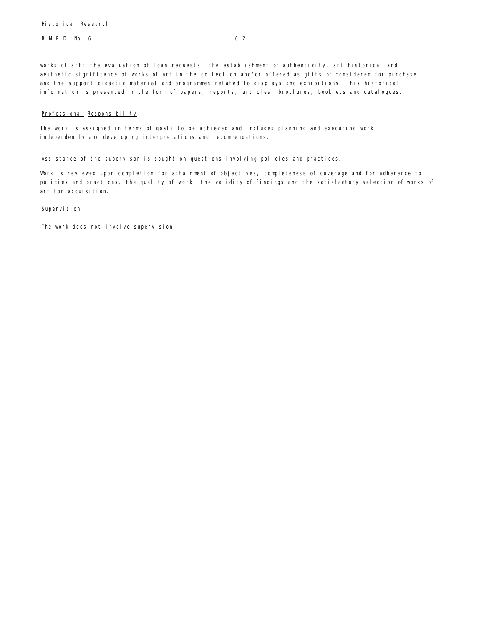works of art; the evaluation of loan requests; the establishment of authenticity, art historical and aesthetic significance of works of art in the collection and/or offered as gifts or considered for purchase; and the support didactic material and programmes related to displays and exhibitions. This historical information is presented in the form of papers, reports, articles, brochures, booklets and catalogues.

# Professional Responsibility

The work is assigned in terms of goals to be achieved and includes planning and executing work independently and developing interpretations and recommendations.

Assistance of the supervisor is sought on questions involving policies and practices.

Work is reviewed upon completion for attainment of objectives, completeness of coverage and for adherence to policies and practices, the quality of work, the validity of findings and the satisfactory selection of works of art for acquisition.

# Supervision

The work does not involve supervision.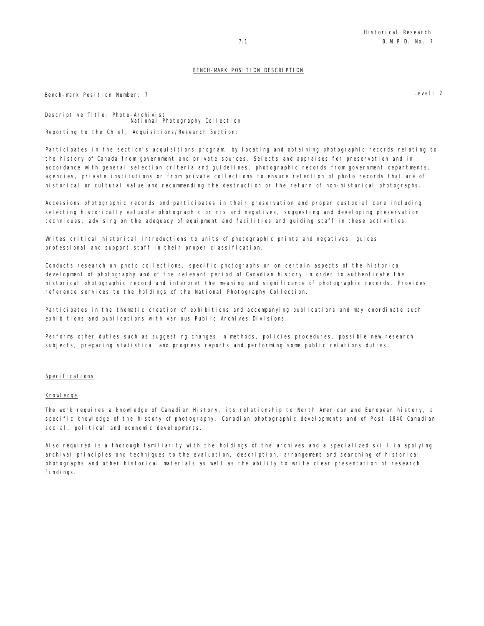Bench-mark Position Number: 7 Level: 2

Descriptive Title: Photo-Archivist National Photography Collection Reporting to the Chief, Acquisitions/Research Section:

Participates in the section's acquisitions program, by locating and obtaining photographic records relating to the history of Canada from government and private sources. Selects and appraises for preservation and in accordance with general selection criteria and guidelines, photographic records from government departments, agencies, private institutions or from private collections to ensure retention of photo records that are of historical or cultural value and recommending the destruction or the return of non-historical photographs.

Accessions photographic records and participates in their preservation and proper custodial care including selecting historically valuable photographic prints and negatives, suggesting and developing preservation techniques, advising on the adequacy of equipment and facilities and guiding staff in these activities.

Writes critical historical introductions to units of photographic prints and negatives, guides professional and support staff in their proper classification.

Conducts research on photo collections, specific photographs or on certain aspects of the historical development of photography and of the relevant period of Canadian history in order to authenticate the historical photographic record and interpret the meaning and significance of photographic records. Provides reference services to the holdings of the National Photography Collection.

Participates in the thematic creation of exhibitions and accompanying publications and may coordinate such exhibitions and publications with various Public Archives Divisions.

Performs other duties such as suggesting changes in methods, policies procedures, possible new research subjects, preparing statistical and progress reports and performing some public relations duties.

# Specifications

#### Knowledge

The work requires a knowledge of Canadian History, its relationship to North American and European history, a specific knowledge of the history of photography, Canadian photographic developments and of Post 1840 Canadian social, political and economic developments.

Also required is a thorough familiarity with the holdings of the archives and a specialized skill in applying archival principles and techniques to the evaluation, description, arrangement and searching of historical photographs and other historical materials as well as the ability to write clear presentation of research findings.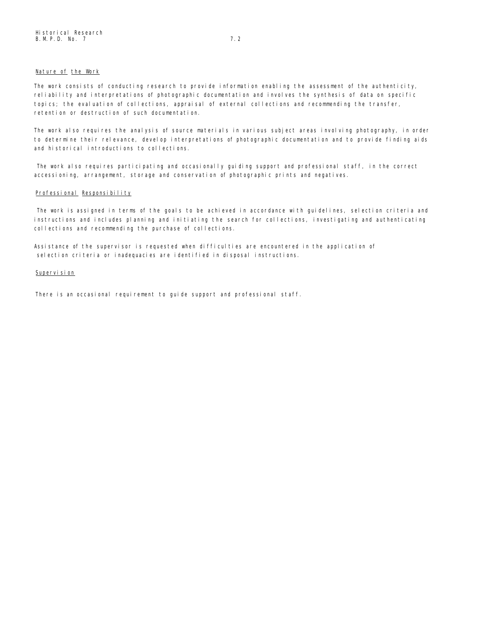# Nature of the Work

The work consists of conducting research to provide information enabling the assessment of the authenticity, reliability and interpretations of photographic documentation and involves the synthesis of data on specific topics; the evaluation of collections, appraisal of external collections and recommending the transfer, retention or destruction of such documentation.

The work also requires the analysis of source materials in various subject areas involving photography, in order to determine their relevance, develop interpretations of photographic documentation and to provide finding aids and historical introductions to collections.

The work also requires participating and occasionally guiding support and professional staff, in the correct accessioning, arrangement, storage and conservation of photographic prints and negatives.

# Professional Responsibility

The work is assigned in terms of the goals to be achieved in accordance with guidelines, selection criteria and instructions and includes planning and initiating the search for collections, investigating and authenticating collections and recommending the purchase of collections.

Assistance of the supervisor is requested when difficulties are encountered in the application of selection criteria or inadequacies are identified in disposal instructions.

# Supervision

There is an occasional requirement to quide support and professional staff.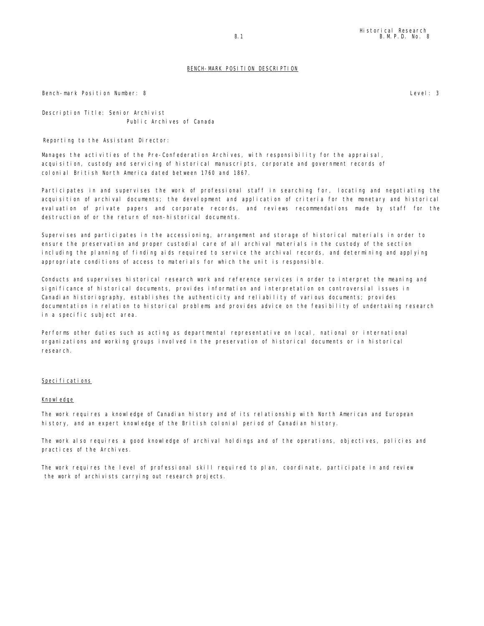Bench-mark Position Number: 8 Level: 3

Description Title: Senior Archivist Public Archives of Canada

Reporting to the Assistant Director:

Manages the activities of the Pre-Confederation Archives, with responsibility for the appraisal, acquisition, custody and servicing of historical manuscripts, corporate and government records of colonial British North America dated between 1760 and 1867.

Participates in and supervises the work of professional staff in searching for, locating and negotiating the acquisition of archival documents; the development and application of criteria for the monetary and historical evaluation of private papers and corporate records, and reviews recommendations made by staff for the destruction of or the return of non-historical documents.

Supervises and participates in the accessioning, arrangement and storage of historical materials in order to ensure the preservation and proper custodial care of all archival materials in the custody of the section including the planning of finding aids required to service the archival records, and determining and applying appropriate conditions of access to materials for which the unit is responsible.

Conducts and supervises historical research work and reference services in order to interpret the meaning and significance of historical documents, provides information and interpretation on controversial issues in Canadian historiography, establishes the authenticity and reliability of various documents; provides documentation in relation to historical problems and provides advice on the feasibility of undertaking research in a specific subject area.

Performs other duties such as acting as departmental representative on local, national or international organizations and working groups involved in the preservation of historical documents or in historical research.

# Specifications

# Knowledge

The work requires a knowledge of Canadian history and of its relationship with North American and European history, and an expert knowledge of the British colonial period of Canadian history.

The work also requires a good knowledge of archival holdings and of the operations, objectives, policies and practices of the Archives.

The work requires the level of professional skill required to plan, coordinate, participate in and review the work of archivists carrying out research projects.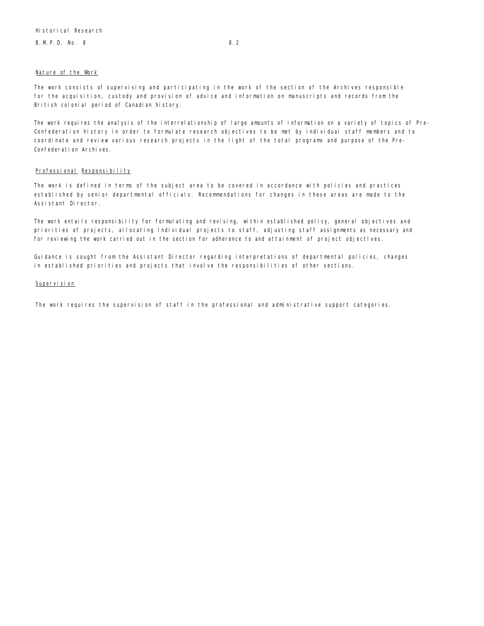# B. M. P. D. No. 8 8.2

#### Nature of the Work

The work consists of supervising and participating in the work of the section of the Archives responsible for the acquisition, custody and provision of advice and information on manuscripts and records from the British colonial period of Canadian history.

The work requires the analysis of the interrelationship of large amounts of information on a variety of topics of Pre-Confederation history in order to formulate research objectives to be met by individual staff members and to coordinate and review various research projects in the light of the total programs and purpose of the Pre-Confederation Archives.

### Professional Responsibility

The work is defined in terms of the subject area to be covered in accordance with policies and practices established by senior departmental officials. Recommendations for changes in these areas are made to the Assistant Director.

The work entails responsibility for formulating and revising, within established policy, general objectives and priorities of projects, allocating Individual projects to staff, adjusting staff assignments as necessary and for reviewing the work carried out in the section for adherence to and attainment of project objectives.

Guidance is sought from the Assistant Director regarding interpretations of departmental policies, changes in established priorities and projects that involve the responsibilities of other sections.

# Supervision

The work requires the supervision of staff in the professional and administrative support categories.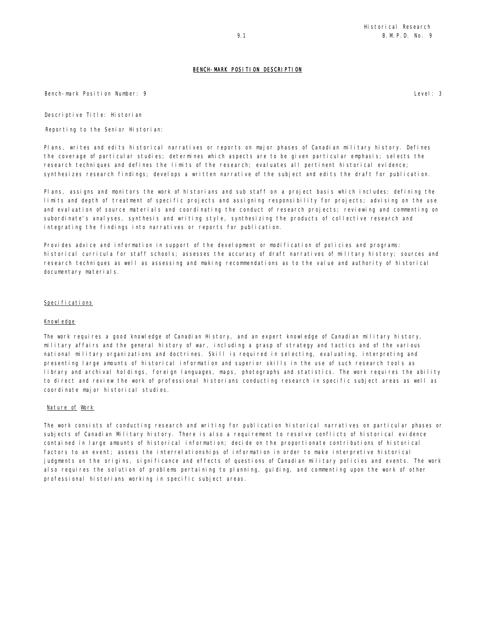Bench-mark Position Number: 9 Level: 3

Descriptive Title: Historian

Reporting to the Senior Historian:

Plans, writes and edits historical narratives or reports on major phases of Canadian military history. Defines the coverage of particular studies; determines which aspects are to be given particular emphasis; selects the research techniques and defines the limits of the research; evaluates all pertinent historical evidence; synthesizes research findings; develops a written narrative of the subject and edits the draft for publication.

Plans, assigns and monitors the work of historians and sub staff on a project basis which includes: defining the limits and depth of treatment of specific projects and assigning responsibility for projects; advising on the use and evaluation of source materials and coordinating the conduct of research projects; reviewing and commenting on subordinate's analyses, synthesis and writing style, synthesizing the products of collective research and integrating the findings into narratives or reports for publication.

Provides advice and information in support of the development or modification of policies and programs: historical curricula for staff schools; assesses the accuracy of draft narratives of military history; sources and research techniques as well as assessing and making recommendations as to the value and authority of historical documentary materials.

# Specifications

# Knowledge

The work requires a good knowledge of Canadian History, and an expert knowledge of Canadian military history, military affairs and the general history of war, including a grasp of strategy and tactics and of the various national military organizations and doctrines. Skill is required in selecting, evaluating, interpreting and presenting large amounts of historical information and superior skills in the use of such research tools as library and archival holdings, foreign languages, maps, photographs and statistics. The work requires the ability to direct and review the work of professional historians conducting research in specific subject areas as well as coordinate major historical studies.

### Nature of Work

The work consists of conducting research and writing for publication historical narratives on particular phases or subjects of Canadian Military history. There is also a requirement to resolve conflicts of historical evidence contained in large amounts of historical information; decide on the proportionate contributions of historical factors to an event; assess the interrelationships of information in order to make interpretive historical judgments on the origins, significance and effects of questions of Canadian military policies and events. The work also requires the solution of problems pertaining to planning, guiding, and commenting upon the work of other professional historians working in specific subject areas.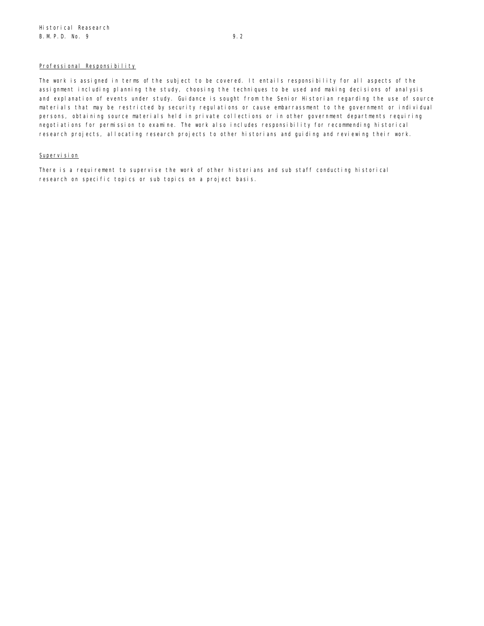# Professional Responsibility

The work is assigned in terms of the subject to be covered. It entails responsibility for all aspects of the assignment including planning the study, choosing the techniques to be used and making decisions of analysis and explanation of events under study. Guidance is sought from the Senior Historian regarding the use of source materials that may be restricted by security regulations or cause embarrassment to the government or individual persons, obtaining source materials held in private collections or in other government departments requiring negotiations for permission to examine. The work also includes responsibility for recommending historical research projects, allocating research projects to other historians and guiding and reviewing their work.

# Supervision

There is a requirement to supervise the work of other historians and sub staff conducting historical research on specific topics or sub topics on a project basis.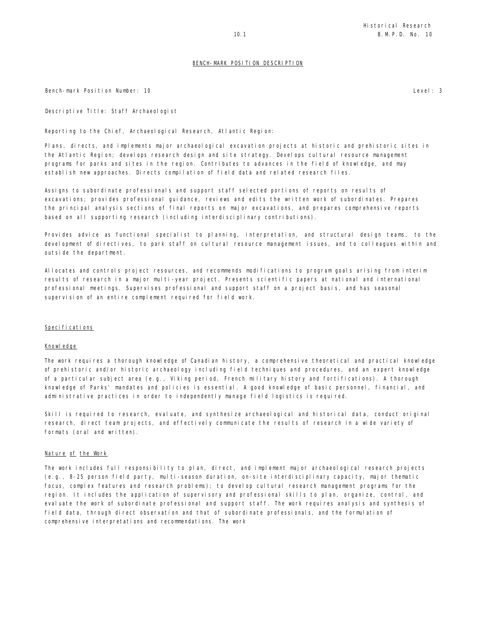Bench-mark Position Number: 10 Level: 3

Descriptive Title: Staff Archaeologist

Reporting to the Chief, Archaeological Research, Atlantic Region:

Plans, directs, and implements major archaeological excavation projects at historic and prehistoric sites in the Atlantic Region; develops research design and site strategy. Develops cultural resource management programs for parks and sites in the region. Contributes to advances in the field of knowledge, and may establish new approaches. Directs compilation of field data and related research files.

Assigns to subordinate professionals and support staff selected portions of reports on results of excavations; provides professional guidance, reviews and edits the written work of subordinates. Prepares the principal analysis sections of final reports on major excavations, and prepares comprehensive reports based on all supporting research (including interdisciplinary contributions).

Provides advice as functional specialist to planning, interpretation, and structural design teams, to the development of directives, to park staff on cultural resource management issues, and to colleagues within and outside the department.

Allocates and controls project resources, and recommends modifications to program goals arising from interim results of research in a major multi-year project. Presents scientific papers at national and international professional meetings. Supervises professional and support staff on a project basis, and has seasonal supervision of an entire complement required for field work.

#### Specifications

#### Knowledge

The work requires a thorough knowledge of Canadian history, a comprehensive theoretical and practical knowledge of prehistoric and/or historic archaeology including field techniques and procedures, and an expert knowledge of a particular subject area (e.g., Viking period, French military history and fortifications). A thorough knowledge of Parks' mandates and policies is essential. A good knowledge of basic personnel, financial, and administrative practices in order to independently manage field logistics is required.

Skill is required to research, evaluate, and synthesize archaeological and historical data, conduct original research, direct team projects, and effectively communicate the results of research in a wide variety of formats (oral and written).

### Nature of the Work

The work includes full responsibility to plan, direct, and implement major archaeological research projects (e.g., 8-25 person field party, multi-season duration, on-site interdisciplinary capacity, major thematic focus, complex features and research problems); to develop cultural research management programs for the region. It includes the application of supervisory and professional skills to plan, organize, control, and evaluate the work of subordinate professional and support staff. The work requires analysis and synthesis of field data, through direct observation and that of subordinate professionals, and the formulation of comprehensive interpretations and recommendations. The work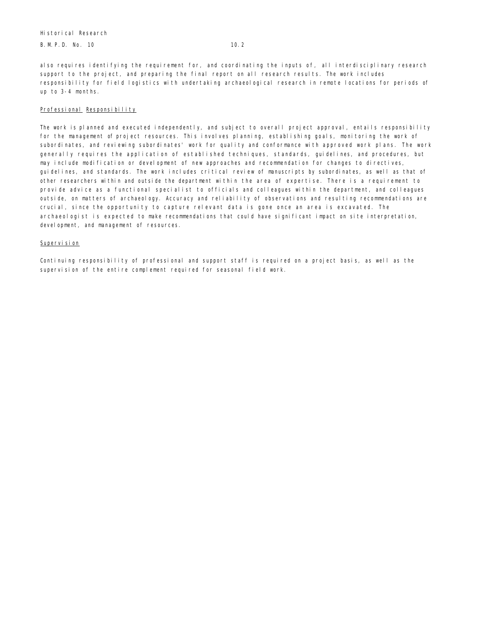B. M. P. D. No. 10 10.2

also requires identifying the requirement for, and coordinating the inputs of, all interdisciplinary research support to the project, and preparing the final report on all research results. The work includes responsibility for field logistics with undertaking archaeological research in remote locations for periods of up to 3-4 months.

# Professional Responsibility

The work is planned and executed independently, and subject to overall project approval, entails responsibility for the management of project resources. This involves planning, establishing goals, monitoring the work of subordinates, and reviewing subordinates' work for quality and conformance with approved work plans. The work generally requires the application of established techniques, standards, guidelines, and procedures, but may include modification or development of new approaches and recommendation for changes to directives, guidelines, and standards. The work includes critical review of manuscripts by subordinates, as well as that of other researchers within and outside the department within the area of expertise. There is a requirement to provide advice as a functional specialist to officials and colleagues within the department, and colleagues outside, on matters of archaeology. Accuracy and reliability of observations and resulting recommendations are crucial, since the opportunity to capture relevant data is gone once an area is excavated. The archaeologist is expected to make recommendations that could have significant impact on site interpretation, devel opment, and management of resources.

# Supervision

Continuing responsibility of professional and support staff is required on a project basis, as well as the supervision of the entire complement required for seasonal field work.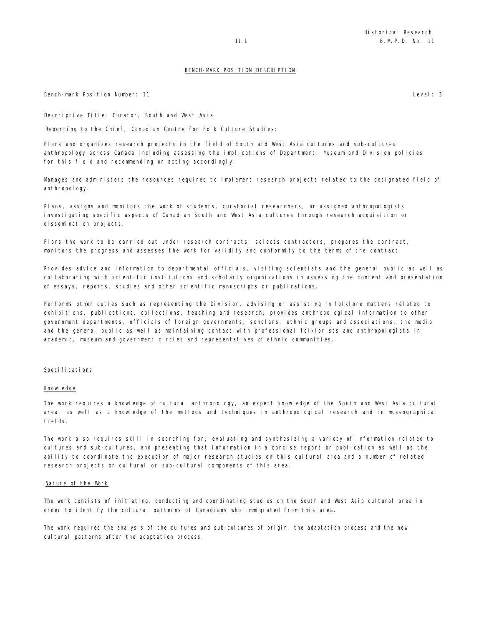Bench-mark Position Number: 11 Level: 3

Descriptive Title: Curator, South and West Asia

Reporting to the Chief, Canadian Centre for Folk Culture Studies:

Plans and organizes research projects in the field of South and West Asia cultures and sub-cultures anthropology across Canada including assessing the implications of Department, Museum and Division policies for this field and recommending or acting accordingly.

Manages and administers the resources required to implement research projects related to the designated field of anthropology.

Plans, assigns and monitors the work of students, curatorial researchers, or assigned anthropologists investigating specific aspects of Canadian South and West Asia cultures through research acquisition or dissemination projects.

Plans the work to be carried out under research contracts, selects contractors, prepares the contract, monitors the progress and assesses the work for validity and conformity to the terms of the contract.

Provides advice and information to departmental officials, visiting scientists and the general public as well as collaborating with scientific institutions and scholarly organizations in assessing the content and presentation of essays, reports, studies and other scientific manuscripts or publications.

Performs other duties such as representing the Division, advising or assisting in folklore matters related to exhibitions, publications, collections, teaching and research; provides anthropological information to other government departments, officials of foreign governments, scholars, ethnic groups and associations, the media and the general public as well as maintaining contact with professional folklorists and anthropologists in academic, museum and government circles and representatives of ethnic communities.

# Speci fi cati ons

# Knowledge

The work requires a knowledge of cultural anthropology, an expert knowledge of the South and West Asia cultural area, as well as a knowledge of the methods and techniques in anthropological research and in museographical fields.

The work also requires skill in searching for, evaluating and synthesizing a variety of information related to cultures and sub-cultures, and presenting that information in a concise report or publication as well as the ability to coordinate the execution of major research studies on this cultural area and a number of related research projects on cultural or sub-cultural components of this area.

#### Nature of the Work

The work consists of initiating, conducting and coordinating studies on the South and West Asia cultural area in order to identify the cultural patterns of Canadians who immigrated from this area.

The work requires the analysis of the cultures and sub-cultures of origin, the adaptation process and the new cultural patterns after the adaptation process.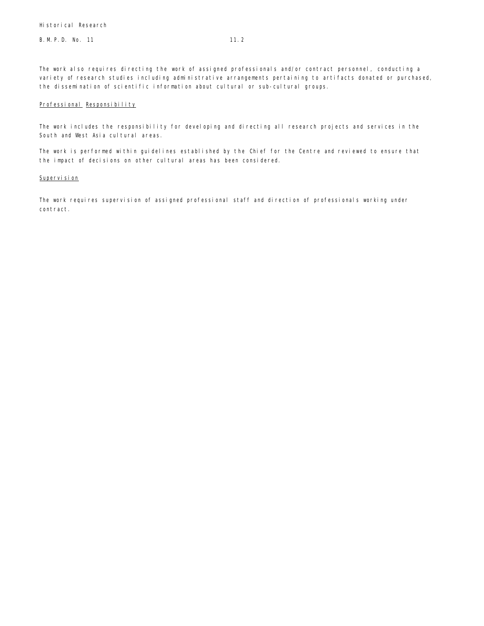The work also requires directing the work of assigned professionals and/or contract personnel, conducting a variety of research studies including administrative arrangements pertaining to artifacts donated or purchased, the dissemination of scientific information about cultural or sub-cultural groups.

# Professional Responsibility

The work includes the responsibility for developing and directing all research projects and services in the South and West Asia cultural areas.

The work is performed within guidelines established by the Chief for the Centre and reviewed to ensure that the impact of decisions on other cultural areas has been considered.

# Supervision

The work requires supervision of assigned professional staff and direction of professionals working under contract.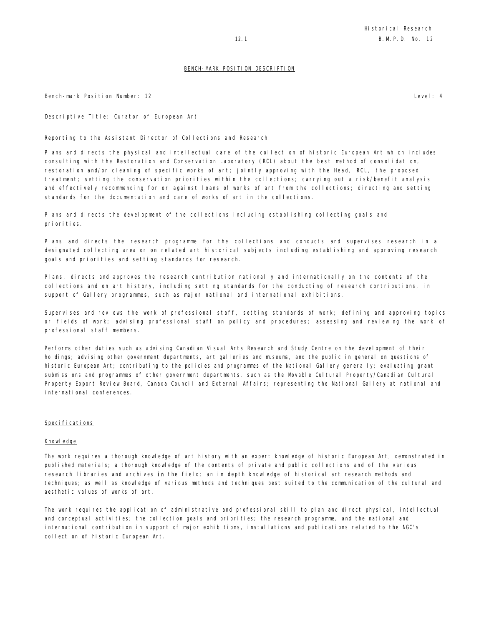Bench-mark Position Number: 12 Level: 4

Descriptive Title: Curator of European Art

Reporting to the Assistant Director of Collections and Research:

Plans and directs the physical and intellectual care of the collection of historic European Art which includes consulting with the Restoration and Conservation Laboratory (RCL) about the best method of consolidation, restoration and/or cleaning of specific works of art; jointly approving with the Head, RCL, the proposed treatment; setting the conservation priorities within the collections; carrying out a risk/benefit analysis and effectively recommending for or against loans of works of art from the collections; directing and setting standards for the documentation and care of works of art in the collections.

Plans and directs the development of the collections including establishing collecting goals and priorities.

Plans and directs the research programme for the collections and conducts and supervises research in a designated collecting area or on related art historical subjects including establishing and approving research goals and priorities and setting standards for research.

Plans, directs and approves the research contribution nationally and internationally on the contents of the collections and on art history, including setting standards for the conducting of research contributions, in support of Gallery programmes, such as major national and international exhibitions.

Supervises and reviews the work of professional staff, setting standards of work; defining and approving topics or fields of work; advising professional staff on policy and procedures; assessing and reviewing the work of professional staff members.

Performs other duties such as advising Canadian Visual Arts Research and Study Centre on the development of their holdings; advising other government departments, art galleries and museums, and the public in general on questions of historic European Art; contributing to the policies and programmes of the National Gallery generally; evaluating grant submissions and programmes of other government departments, such as the Movable Cultural Property/Canadian Cultural Property Export Review Board, Canada Council and External Affairs; representing the National Gallery at national and international conferences.

#### Specifications

#### Knowledge

The work requires a thorough knowledge of art history with an expert knowledge of historic European Art, demonstrated in published materials; a thorough knowledge of the contents of private and public collections and of the various research libraries and archives in the field; an in depth knowledge of historical art research methods and techniques; as well as knowledge of various methods and techniques best suited to the communication of the cultural and aesthetic values of works of art.

The work requires the application of administrative and professional skill to plan and direct physical, intellectual and conceptual activities; the collection goals and priorities; the research programme, and the national and international contribution in support of major exhibitions, installations and publications related to the NGC's collection of historic European Art.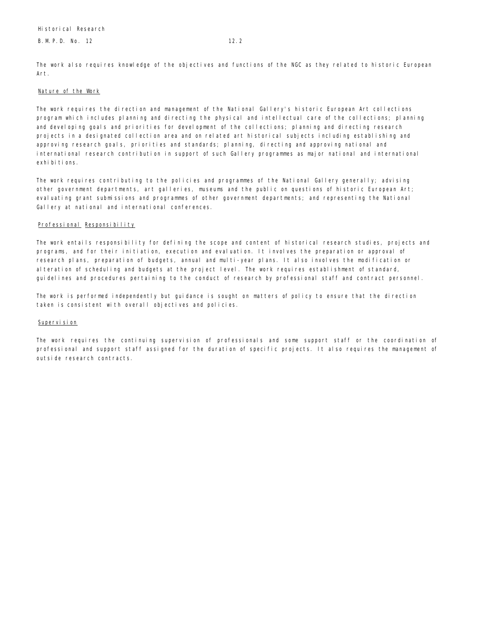The work also requires knowledge of the objectives and functions of the NGC as they related to historic European Art.

# Nature of the Work

The work requires the direction and management of the National Gallery's historic European Art collections program which includes planning and directing the physical and intellectual care of the collections; planning and developing goals and priorities for development of the collections; planning and directing research projects in a designated collection area and on related art historical subjects including establishing and approving research goals, priorities and standards; planning, directing and approving national and international research contribution in support of such Gallery programmes as major national and international exhi bi ti ons.

The work requires contributing to the policies and programmes of the National Gallery generally; advising other government departments, art galleries, museums and the public on questions of historic European Art; evaluating grant submissions and programmes of other government departments; and representing the National Gallery at national and international conferences.

# Professional Responsibility

The work entails responsibility for defining the scope and content of historical research studies, projects and programs, and for their initiation, execution and evaluation. It involves the preparation or approval of research plans, preparation of budgets, annual and multi-year plans. It also involves the modification or alteration of scheduling and budgets at the project level. The work requires establishment of standard, guidelines and procedures pertaining to the conduct of research by professional staff and contract personnel.

The work is performed independently but guidance is sought on matters of policy to ensure that the direction taken is consistent with overall objectives and policies.

# Supervision

The work requires the continuing supervision of professionals and some support staff or the coordination of professional and support staff assigned for the duration of specific projects. It also requires the management of outside research contracts.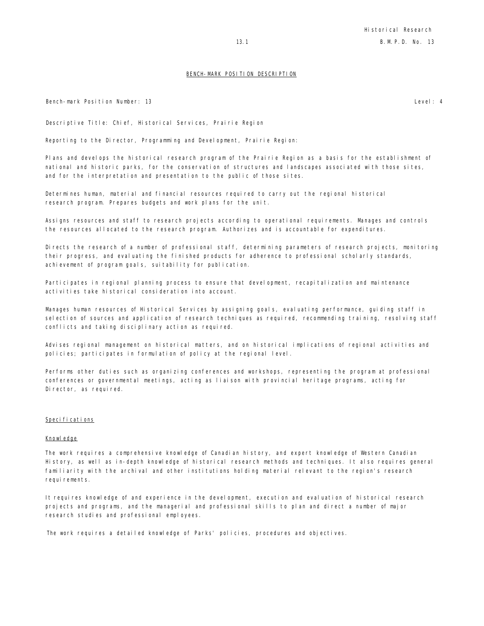Bench-mark Position Number: 13 Level: 4

Descriptive Title: Chief, Historical Services, Prairie Region

Reporting to the Director, Programming and Development, Prairie Region:

Plans and develops the historical research program of the Prairie Region as a basis for the establishment of national and historic parks, for the conservation of structures and landscapes associated with those sites, and for the interpretation and presentation to the public of those sites.

Determines human, material and financial resources required to carry out the regional historical research program. Prepares budgets and work plans for the unit.

Assigns resources and staff to research projects according to operational requirements. Manages and controls the resources allocated to the research program. Authorizes and is accountable for expenditures.

Directs the research of a number of professional staff, determining parameters of research projects, monitoring their progress, and evaluating the finished products for adherence to professional scholarly standards, achievement of program goals, suitability for publication.

Participates in regional planning process to ensure that development, recapitalization and maintenance activities take historical consideration into account.

Manages human resources of Historical Services by assigning goals, evaluating performance, guiding staff in selection of sources and application of research techniques as required, recommending training, resolving staff conflicts and taking disciplinary action as required.

Advises regional management on historical matters, and on historical implications of regional activities and policies; participates in formulation of policy at the regional level.

Performs other duties such as organizing conferences and workshops, representing the program at professional conferences or governmental meetings, acting as liaison with provincial heritage programs, acting for Director, as required.

# Specifications

# Knowledge

The work requires a comprehensive knowledge of Canadian history, and expert knowledge of Western Canadian History, as well as in-depth knowledge of historical research methods and techniques. It also requires general familiarity with the archival and other institutions holding material relevant to the region's research requirements.

It requires knowledge of and experience in the development, execution and evaluation of historical research projects and programs, and the managerial and professional skills to plan and direct a number of major research studies and professional employees.

The work requires a detailed knowledge of Parks' policies, procedures and objectives.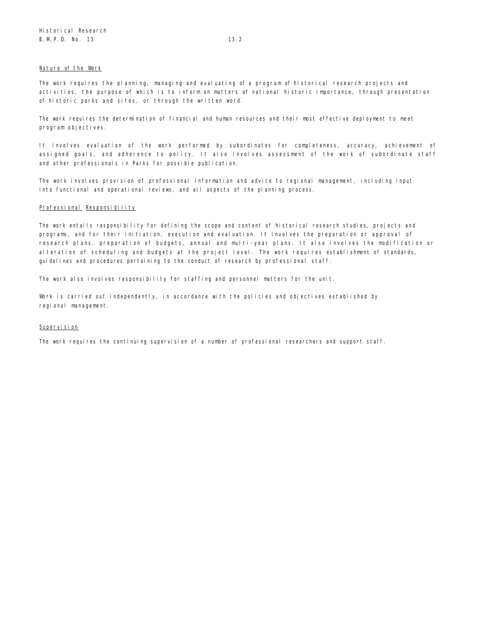### Nature of the Work

The work requires the planning, managing and evaluating of a program of historical research projects and activities, the purpose of which is to inform on matters of national historic importance, through presentation of historic parks and sites, or through the written word.

The work requires the determination of financial and human resources and their most effective deployment to meet program objectives.

It involves evaluation of the work performed by subordinates for completeness, accuracy, achievement of assigned goals, and adherence to policy. It also involves assessment of the work of subordinate staff and other professionals in Parks for possible publication.

The work involves provision of professional information and advice to regional management, including input into functional and operational reviews, and all aspects of the planning process.

# Professional Responsibility

The work entails responsibility for defining the scope and content of historical research studies, projects and programs, and for their initiation, execution and evaluation. It involves the preparation or approval of research plans, preparation of budgets, annual and multi-year plans. It also involves the modification or alteration of scheduling and budgets at the project level. The work requires establishment of standards, guidelines and procedures pertaining to the conduct of research by professional staff.

The work also involves responsibility for staffing and personnel matters for the unit.

Work is carried out independently, in accordance with the policies and objectives established by regional management.

# Supervision

The work requires the continuing supervision of a number of professional researchers and support staff.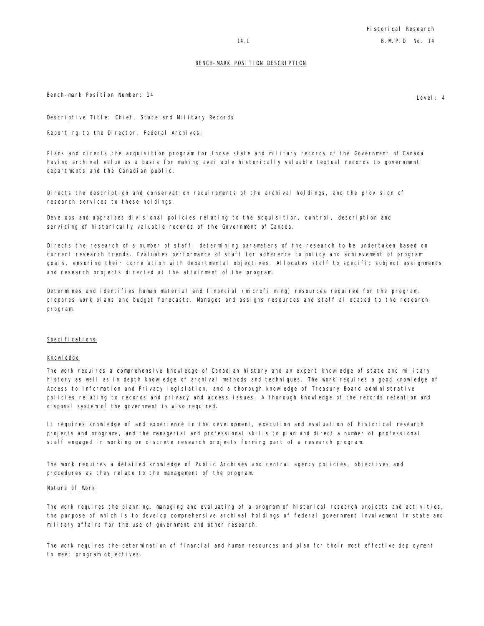Bench-mark Position Number: 14 **Level** 2008 and the set of the set of the set of the set of the set of the set of the set of the set of the set of the set of the set of the set of the set of the set of the set of the set o

Descriptive Title: Chief, State and Military Records

Reporting to the Director, Federal Archives:

Plans and directs the acquisition program for those state and military records of the Government of Canada having archival value as a basis for making available historically valuable textual records to government departments and the Canadian public.

Directs the description and conservation requirements of the archival holdings, and the provision of research services to these holdings.

Develops and appraises divisional policies relating to the acquisition, control, description and servicing of historically valuable records of the Government of Canada.

Directs the research of a number of staff, determining parameters of the research to be undertaken based on current research trends. Evaluates performance of staff for adherence to policy and achievement of program goals, ensuring their correlation with departmental objectives. Allocates staff to specific subject assignments and research projects directed at the attainment of the program.

Determines and identifies human material and financial (microfilming) resources required for the program, prepares work plans and budget forecasts. Manages and assigns resources and staff allocated to the research program.

# Specifications

# Knowledge

The work requires a comprehensive knowledge of Canadian history and an expert knowledge of state and military history as well as in depth knowledge of archival methods and techniques. The work requires a good knowledge of Access to Information and Privacy legislation, and a thorough knowledge of Treasury Board administrative policies relating to records and privacy and access issues. A thorough knowledge of the records retention and disposal system of the government is also required.

It requires knowledge of and experience in the development, execution and evaluation of historical research projects and programs, and the managerial and professional skills to plan and direct a number of professional staff engaged in working on discrete research projects forming part of a research program.

The work requires a detailed knowledge of Public Archives and central agency policies, objectives and procedures as they relate to the management of the program.

# Nature of Work

The work requires the planning, managing and evaluating of a program of historical research projects and activities, the purpose of which is to develop comprehensive archival holdings of federal government involvement in state and military affairs for the use of government and other research.

The work requires the determination of financial and human resources and plan for their most effective deployment to meet program objectives.